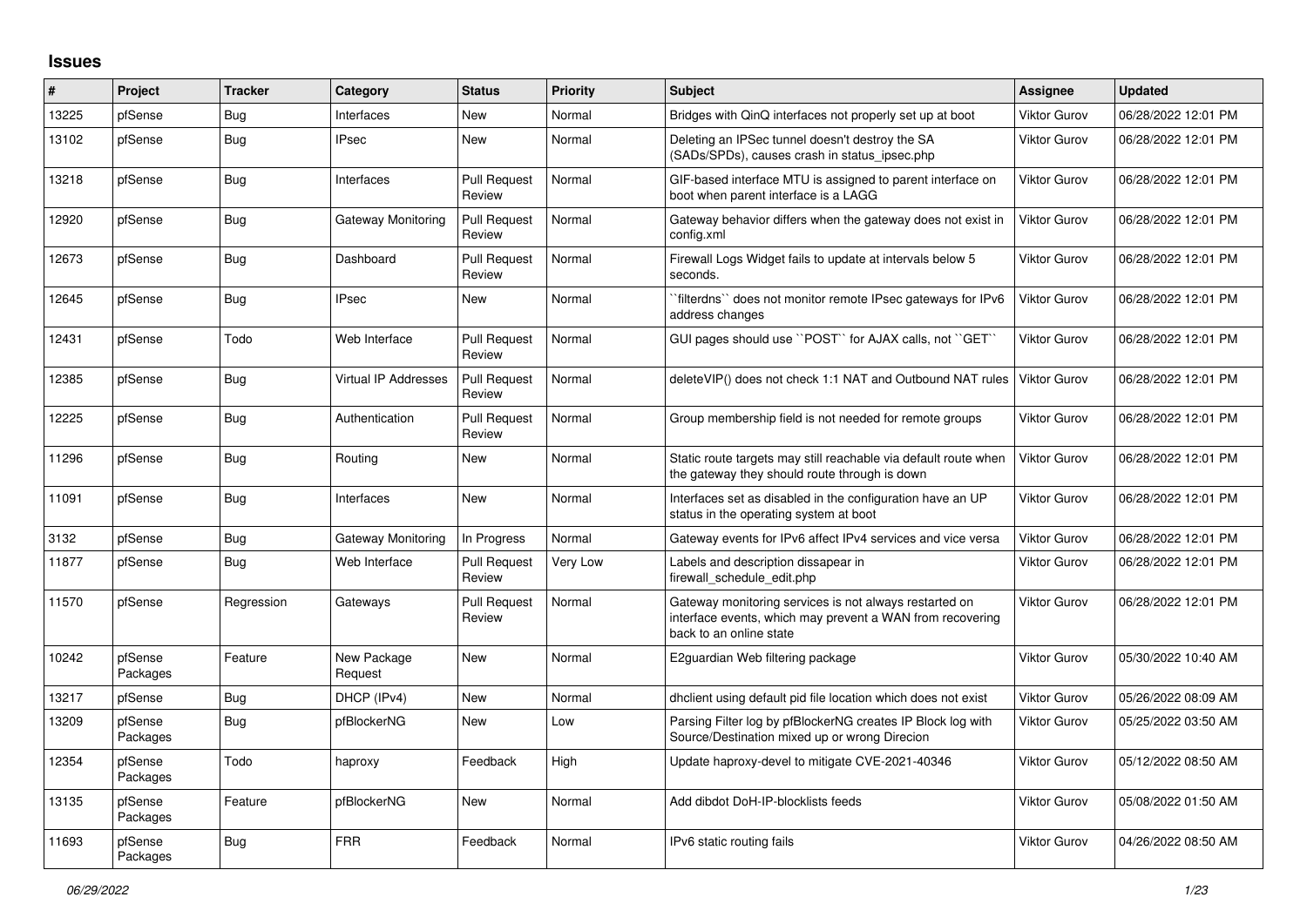## **Issues**

| #     | Project             | <b>Tracker</b> | Category                    | <b>Status</b>                 | <b>Priority</b> | <b>Subject</b>                                                                                                                                 | <b>Assignee</b>     | <b>Updated</b>      |
|-------|---------------------|----------------|-----------------------------|-------------------------------|-----------------|------------------------------------------------------------------------------------------------------------------------------------------------|---------------------|---------------------|
| 13225 | pfSense             | Bug            | Interfaces                  | New                           | Normal          | Bridges with QinQ interfaces not properly set up at boot                                                                                       | <b>Viktor Gurov</b> | 06/28/2022 12:01 PM |
| 13102 | pfSense             | <b>Bug</b>     | <b>IPsec</b>                | <b>New</b>                    | Normal          | Deleting an IPSec tunnel doesn't destroy the SA<br>(SADs/SPDs), causes crash in status_ipsec.php                                               | <b>Viktor Gurov</b> | 06/28/2022 12:01 PM |
| 13218 | pfSense             | Bug            | Interfaces                  | <b>Pull Request</b><br>Review | Normal          | GIF-based interface MTU is assigned to parent interface on<br>boot when parent interface is a LAGG                                             | <b>Viktor Gurov</b> | 06/28/2022 12:01 PM |
| 12920 | pfSense             | Bug            | Gateway Monitoring          | <b>Pull Request</b><br>Review | Normal          | Gateway behavior differs when the gateway does not exist in<br>config.xml                                                                      | Viktor Gurov        | 06/28/2022 12:01 PM |
| 12673 | pfSense             | <b>Bug</b>     | Dashboard                   | <b>Pull Request</b><br>Review | Normal          | Firewall Logs Widget fails to update at intervals below 5<br>seconds.                                                                          | Viktor Gurov        | 06/28/2022 12:01 PM |
| 12645 | pfSense             | Bug            | <b>IPsec</b>                | New                           | Normal          | filterdns" does not monitor remote IPsec gateways for IPv6<br>address changes                                                                  | <b>Viktor Gurov</b> | 06/28/2022 12:01 PM |
| 12431 | pfSense             | Todo           | Web Interface               | <b>Pull Request</b><br>Review | Normal          | GUI pages should use "POST" for AJAX calls, not "GET"                                                                                          | <b>Viktor Gurov</b> | 06/28/2022 12:01 PM |
| 12385 | pfSense             | Bug            | <b>Virtual IP Addresses</b> | <b>Pull Request</b><br>Review | Normal          | deleteVIP() does not check 1:1 NAT and Outbound NAT rules                                                                                      | <b>Viktor Gurov</b> | 06/28/2022 12:01 PM |
| 12225 | pfSense             | <b>Bug</b>     | Authentication              | <b>Pull Request</b><br>Review | Normal          | Group membership field is not needed for remote groups                                                                                         | <b>Viktor Gurov</b> | 06/28/2022 12:01 PM |
| 11296 | pfSense             | Bug            | Routing                     | New                           | Normal          | Static route targets may still reachable via default route when<br>the gateway they should route through is down                               | <b>Viktor Gurov</b> | 06/28/2022 12:01 PM |
| 11091 | pfSense             | Bug            | Interfaces                  | New                           | Normal          | Interfaces set as disabled in the configuration have an UP<br>status in the operating system at boot                                           | <b>Viktor Gurov</b> | 06/28/2022 12:01 PM |
| 3132  | pfSense             | Bug            | Gateway Monitoring          | In Progress                   | Normal          | Gateway events for IPv6 affect IPv4 services and vice versa                                                                                    | <b>Viktor Gurov</b> | 06/28/2022 12:01 PM |
| 11877 | pfSense             | Bug            | Web Interface               | <b>Pull Request</b><br>Review | Very Low        | Labels and description dissapear in<br>firewall schedule edit.php                                                                              | <b>Viktor Gurov</b> | 06/28/2022 12:01 PM |
| 11570 | pfSense             | Regression     | Gateways                    | Pull Request<br>Review        | Normal          | Gateway monitoring services is not always restarted on<br>interface events, which may prevent a WAN from recovering<br>back to an online state | <b>Viktor Gurov</b> | 06/28/2022 12:01 PM |
| 10242 | pfSense<br>Packages | Feature        | New Package<br>Request      | <b>New</b>                    | Normal          | E2guardian Web filtering package                                                                                                               | <b>Viktor Gurov</b> | 05/30/2022 10:40 AM |
| 13217 | pfSense             | Bug            | DHCP (IPv4)                 | New                           | Normal          | dhclient using default pid file location which does not exist                                                                                  | <b>Viktor Gurov</b> | 05/26/2022 08:09 AM |
| 13209 | pfSense<br>Packages | Bug            | pfBlockerNG                 | New                           | Low             | Parsing Filter log by pfBlockerNG creates IP Block log with<br>Source/Destination mixed up or wrong Direcion                                   | <b>Viktor Gurov</b> | 05/25/2022 03:50 AM |
| 12354 | pfSense<br>Packages | Todo           | haproxy                     | Feedback                      | High            | Update haproxy-devel to mitigate CVE-2021-40346                                                                                                | <b>Viktor Gurov</b> | 05/12/2022 08:50 AM |
| 13135 | pfSense<br>Packages | Feature        | pfBlockerNG                 | <b>New</b>                    | Normal          | Add dibdot DoH-IP-blocklists feeds                                                                                                             | <b>Viktor Gurov</b> | 05/08/2022 01:50 AM |
| 11693 | pfSense<br>Packages | Bug            | <b>FRR</b>                  | Feedback                      | Normal          | IPv6 static routing fails                                                                                                                      | <b>Viktor Gurov</b> | 04/26/2022 08:50 AM |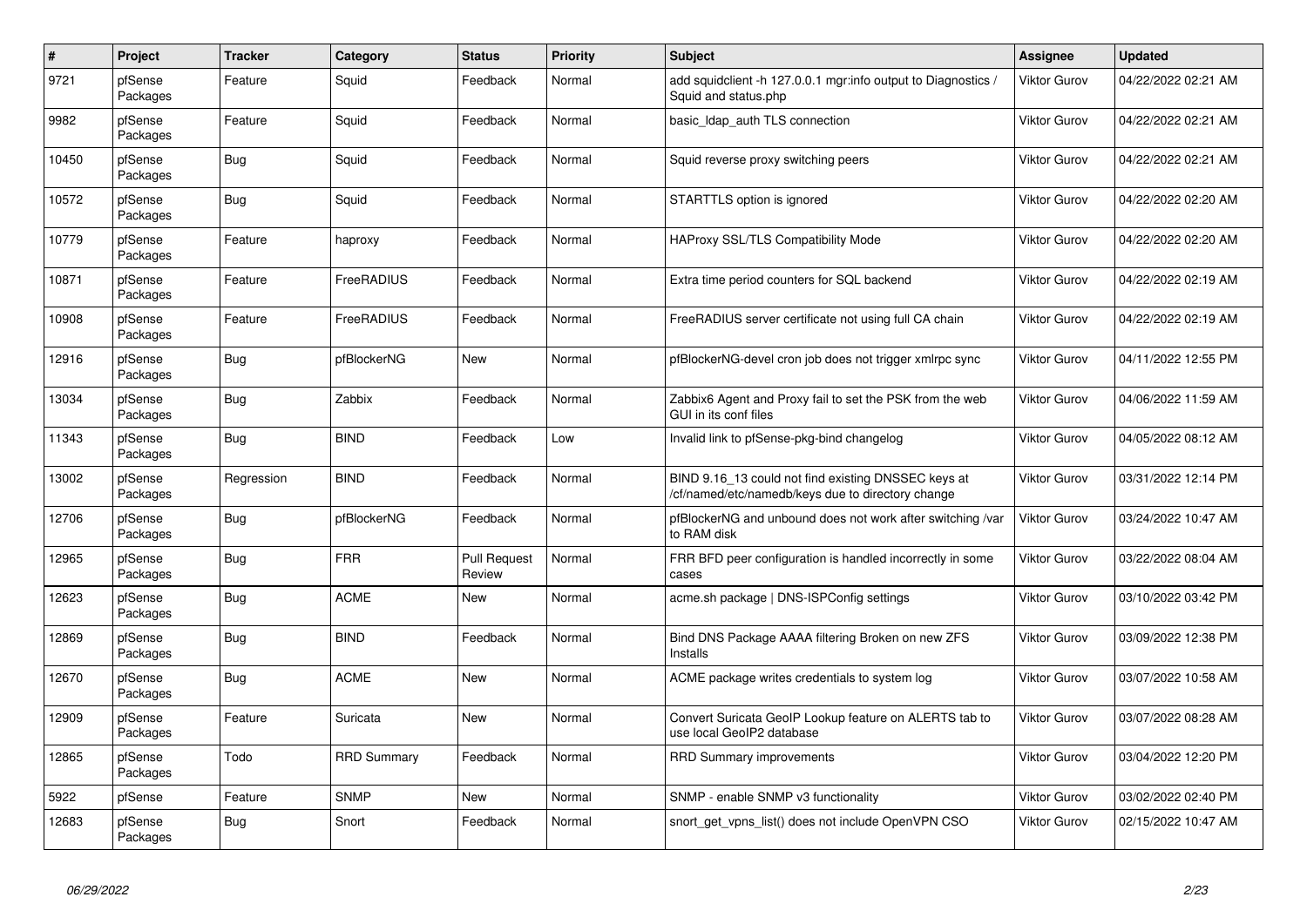| $\pmb{\#}$ | Project             | <b>Tracker</b> | Category           | <b>Status</b>                 | <b>Priority</b> | <b>Subject</b>                                                                                           | Assignee            | <b>Updated</b>      |
|------------|---------------------|----------------|--------------------|-------------------------------|-----------------|----------------------------------------------------------------------------------------------------------|---------------------|---------------------|
| 9721       | pfSense<br>Packages | Feature        | Squid              | Feedback                      | Normal          | add squidclient -h 127.0.0.1 mgr:info output to Diagnostics<br>Squid and status.php                      | <b>Viktor Gurov</b> | 04/22/2022 02:21 AM |
| 9982       | pfSense<br>Packages | Feature        | Squid              | Feedback                      | Normal          | basic Idap auth TLS connection                                                                           | <b>Viktor Gurov</b> | 04/22/2022 02:21 AM |
| 10450      | pfSense<br>Packages | Bug            | Squid              | Feedback                      | Normal          | Squid reverse proxy switching peers                                                                      | <b>Viktor Gurov</b> | 04/22/2022 02:21 AM |
| 10572      | pfSense<br>Packages | Bug            | Squid              | Feedback                      | Normal          | STARTTLS option is ignored                                                                               | <b>Viktor Gurov</b> | 04/22/2022 02:20 AM |
| 10779      | pfSense<br>Packages | Feature        | haproxy            | Feedback                      | Normal          | <b>HAProxy SSL/TLS Compatibility Mode</b>                                                                | <b>Viktor Gurov</b> | 04/22/2022 02:20 AM |
| 10871      | pfSense<br>Packages | Feature        | FreeRADIUS         | Feedback                      | Normal          | Extra time period counters for SQL backend                                                               | <b>Viktor Gurov</b> | 04/22/2022 02:19 AM |
| 10908      | pfSense<br>Packages | Feature        | <b>FreeRADIUS</b>  | Feedback                      | Normal          | FreeRADIUS server certificate not using full CA chain                                                    | <b>Viktor Gurov</b> | 04/22/2022 02:19 AM |
| 12916      | pfSense<br>Packages | Bug            | pfBlockerNG        | <b>New</b>                    | Normal          | pfBlockerNG-devel cron job does not trigger xmlrpc sync                                                  | <b>Viktor Gurov</b> | 04/11/2022 12:55 PM |
| 13034      | pfSense<br>Packages | <b>Bug</b>     | Zabbix             | Feedback                      | Normal          | Zabbix6 Agent and Proxy fail to set the PSK from the web<br>GUI in its conf files                        | <b>Viktor Gurov</b> | 04/06/2022 11:59 AM |
| 11343      | pfSense<br>Packages | Bug            | <b>BIND</b>        | Feedback                      | Low             | Invalid link to pfSense-pkg-bind changelog                                                               | <b>Viktor Gurov</b> | 04/05/2022 08:12 AM |
| 13002      | pfSense<br>Packages | Regression     | <b>BIND</b>        | Feedback                      | Normal          | BIND 9.16 13 could not find existing DNSSEC keys at<br>/cf/named/etc/namedb/keys due to directory change | <b>Viktor Gurov</b> | 03/31/2022 12:14 PM |
| 12706      | pfSense<br>Packages | Bug            | pfBlockerNG        | Feedback                      | Normal          | pfBlockerNG and unbound does not work after switching/var<br>to RAM disk                                 | Viktor Gurov        | 03/24/2022 10:47 AM |
| 12965      | pfSense<br>Packages | Bug            | <b>FRR</b>         | <b>Pull Request</b><br>Review | Normal          | FRR BFD peer configuration is handled incorrectly in some<br>cases                                       | <b>Viktor Gurov</b> | 03/22/2022 08:04 AM |
| 12623      | pfSense<br>Packages | Bug            | <b>ACME</b>        | <b>New</b>                    | Normal          | acme.sh package   DNS-ISPConfig settings                                                                 | <b>Viktor Gurov</b> | 03/10/2022 03:42 PM |
| 12869      | pfSense<br>Packages | Bug            | <b>BIND</b>        | Feedback                      | Normal          | Bind DNS Package AAAA filtering Broken on new ZFS<br>Installs                                            | <b>Viktor Gurov</b> | 03/09/2022 12:38 PM |
| 12670      | pfSense<br>Packages | Bug            | ACME               | New                           | Normal          | ACME package writes credentials to system log                                                            | <b>Viktor Gurov</b> | 03/07/2022 10:58 AM |
| 12909      | pfSense<br>Packages | Feature        | Suricata           | <b>New</b>                    | Normal          | Convert Suricata GeoIP Lookup feature on ALERTS tab to<br>use local GeoIP2 database                      | <b>Viktor Gurov</b> | 03/07/2022 08:28 AM |
| 12865      | pfSense<br>Packages | Todo           | <b>RRD Summary</b> | Feedback                      | Normal          | <b>RRD Summary improvements</b>                                                                          | <b>Viktor Gurov</b> | 03/04/2022 12:20 PM |
| 5922       | pfSense             | Feature        | <b>SNMP</b>        | New                           | Normal          | SNMP - enable SNMP v3 functionality                                                                      | Viktor Gurov        | 03/02/2022 02:40 PM |
| 12683      | pfSense<br>Packages | <b>Bug</b>     | Snort              | Feedback                      | Normal          | snort get vpns list() does not include OpenVPN CSO                                                       | Viktor Gurov        | 02/15/2022 10:47 AM |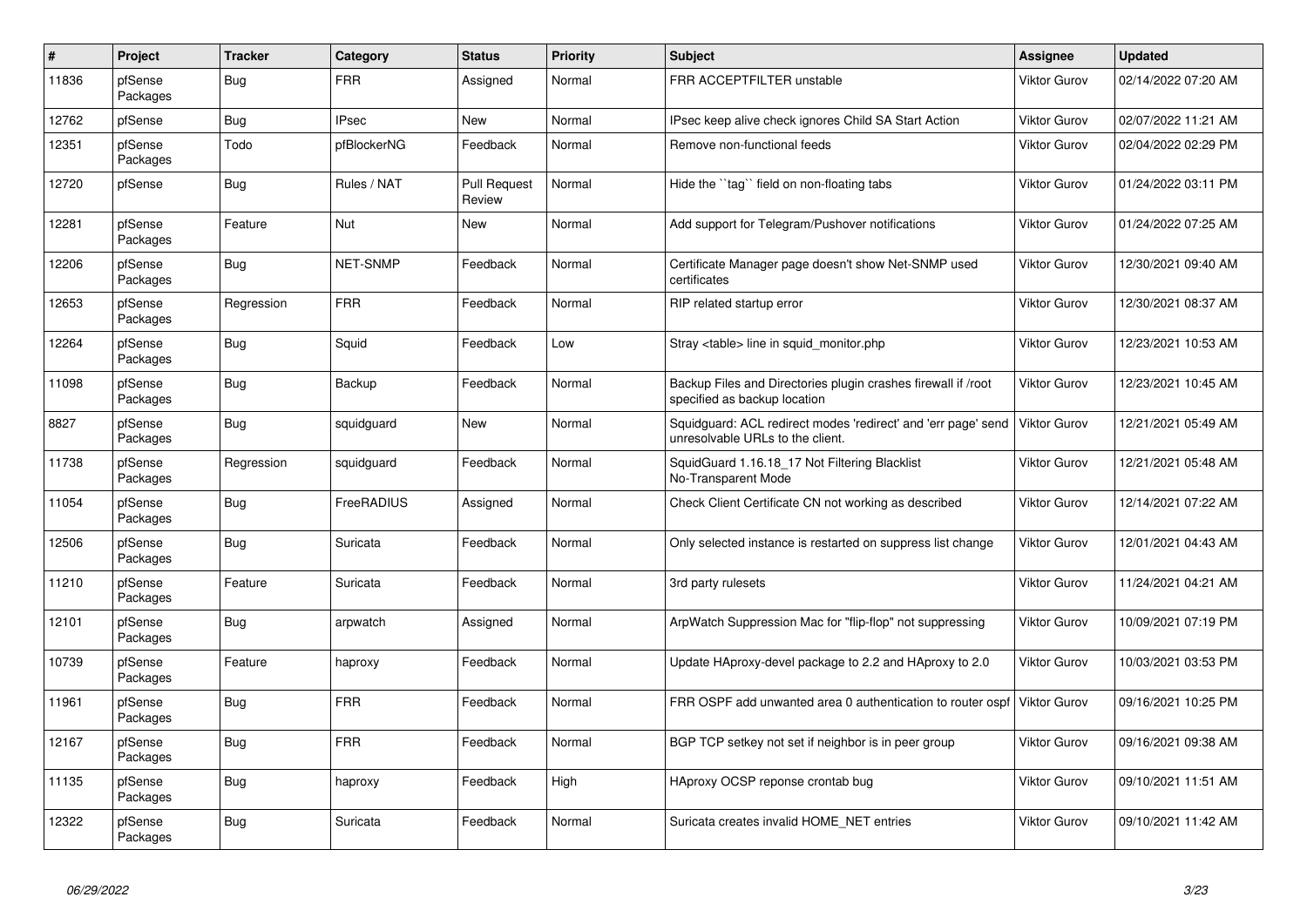| $\vert$ # | Project             | <b>Tracker</b> | Category        | <b>Status</b>                 | <b>Priority</b> | <b>Subject</b>                                                                                    | Assignee            | <b>Updated</b>      |
|-----------|---------------------|----------------|-----------------|-------------------------------|-----------------|---------------------------------------------------------------------------------------------------|---------------------|---------------------|
| 11836     | pfSense<br>Packages | Bug            | <b>FRR</b>      | Assigned                      | Normal          | FRR ACCEPTFILTER unstable                                                                         | <b>Viktor Gurov</b> | 02/14/2022 07:20 AM |
| 12762     | pfSense             | Bug            | <b>IPsec</b>    | New                           | Normal          | IPsec keep alive check ignores Child SA Start Action                                              | <b>Viktor Gurov</b> | 02/07/2022 11:21 AM |
| 12351     | pfSense<br>Packages | Todo           | pfBlockerNG     | Feedback                      | Normal          | Remove non-functional feeds                                                                       | Viktor Gurov        | 02/04/2022 02:29 PM |
| 12720     | pfSense             | Bug            | Rules / NAT     | <b>Pull Request</b><br>Review | Normal          | Hide the "tag" field on non-floating tabs                                                         | <b>Viktor Gurov</b> | 01/24/2022 03:11 PM |
| 12281     | pfSense<br>Packages | Feature        | Nut             | New                           | Normal          | Add support for Telegram/Pushover notifications                                                   | <b>Viktor Gurov</b> | 01/24/2022 07:25 AM |
| 12206     | pfSense<br>Packages | Bug            | <b>NET-SNMP</b> | Feedback                      | Normal          | Certificate Manager page doesn't show Net-SNMP used<br>certificates                               | <b>Viktor Gurov</b> | 12/30/2021 09:40 AM |
| 12653     | pfSense<br>Packages | Regression     | <b>FRR</b>      | Feedback                      | Normal          | RIP related startup error                                                                         | <b>Viktor Gurov</b> | 12/30/2021 08:37 AM |
| 12264     | pfSense<br>Packages | <b>Bug</b>     | Squid           | Feedback                      | Low             | Stray <table> line in squid monitor.php</table>                                                   | <b>Viktor Gurov</b> | 12/23/2021 10:53 AM |
| 11098     | pfSense<br>Packages | Bug            | Backup          | Feedback                      | Normal          | Backup Files and Directories plugin crashes firewall if /root<br>specified as backup location     | <b>Viktor Gurov</b> | 12/23/2021 10:45 AM |
| 8827      | pfSense<br>Packages | <b>Bug</b>     | squidguard      | <b>New</b>                    | Normal          | Squidguard: ACL redirect modes 'redirect' and 'err page' send<br>unresolvable URLs to the client. | Viktor Gurov        | 12/21/2021 05:49 AM |
| 11738     | pfSense<br>Packages | Regression     | squidguard      | Feedback                      | Normal          | SquidGuard 1.16.18_17 Not Filtering Blacklist<br>No-Transparent Mode                              | <b>Viktor Gurov</b> | 12/21/2021 05:48 AM |
| 11054     | pfSense<br>Packages | <b>Bug</b>     | FreeRADIUS      | Assigned                      | Normal          | Check Client Certificate CN not working as described                                              | <b>Viktor Gurov</b> | 12/14/2021 07:22 AM |
| 12506     | pfSense<br>Packages | Bug            | Suricata        | Feedback                      | Normal          | Only selected instance is restarted on suppress list change                                       | <b>Viktor Gurov</b> | 12/01/2021 04:43 AM |
| 11210     | pfSense<br>Packages | Feature        | Suricata        | Feedback                      | Normal          | 3rd party rulesets                                                                                | <b>Viktor Gurov</b> | 11/24/2021 04:21 AM |
| 12101     | pfSense<br>Packages | Bug            | arpwatch        | Assigned                      | Normal          | ArpWatch Suppression Mac for "flip-flop" not suppressing                                          | <b>Viktor Gurov</b> | 10/09/2021 07:19 PM |
| 10739     | pfSense<br>Packages | Feature        | haproxy         | Feedback                      | Normal          | Update HAproxy-devel package to 2.2 and HAproxy to 2.0                                            | <b>Viktor Gurov</b> | 10/03/2021 03:53 PM |
| 11961     | pfSense<br>Packages | Bug            | <b>FRR</b>      | Feedback                      | Normal          | FRR OSPF add unwanted area 0 authentication to router ospf                                        | <b>Viktor Gurov</b> | 09/16/2021 10:25 PM |
| 12167     | pfSense<br>Packages | Bug            | <b>FRR</b>      | Feedback                      | Normal          | BGP TCP setkey not set if neighbor is in peer group                                               | <b>Viktor Gurov</b> | 09/16/2021 09:38 AM |
| 11135     | pfSense<br>Packages | <b>Bug</b>     | haproxy         | Feedback                      | High            | HAproxy OCSP reponse crontab bug                                                                  | <b>Viktor Gurov</b> | 09/10/2021 11:51 AM |
| 12322     | pfSense<br>Packages | <b>Bug</b>     | Suricata        | Feedback                      | Normal          | Suricata creates invalid HOME NET entries                                                         | <b>Viktor Gurov</b> | 09/10/2021 11:42 AM |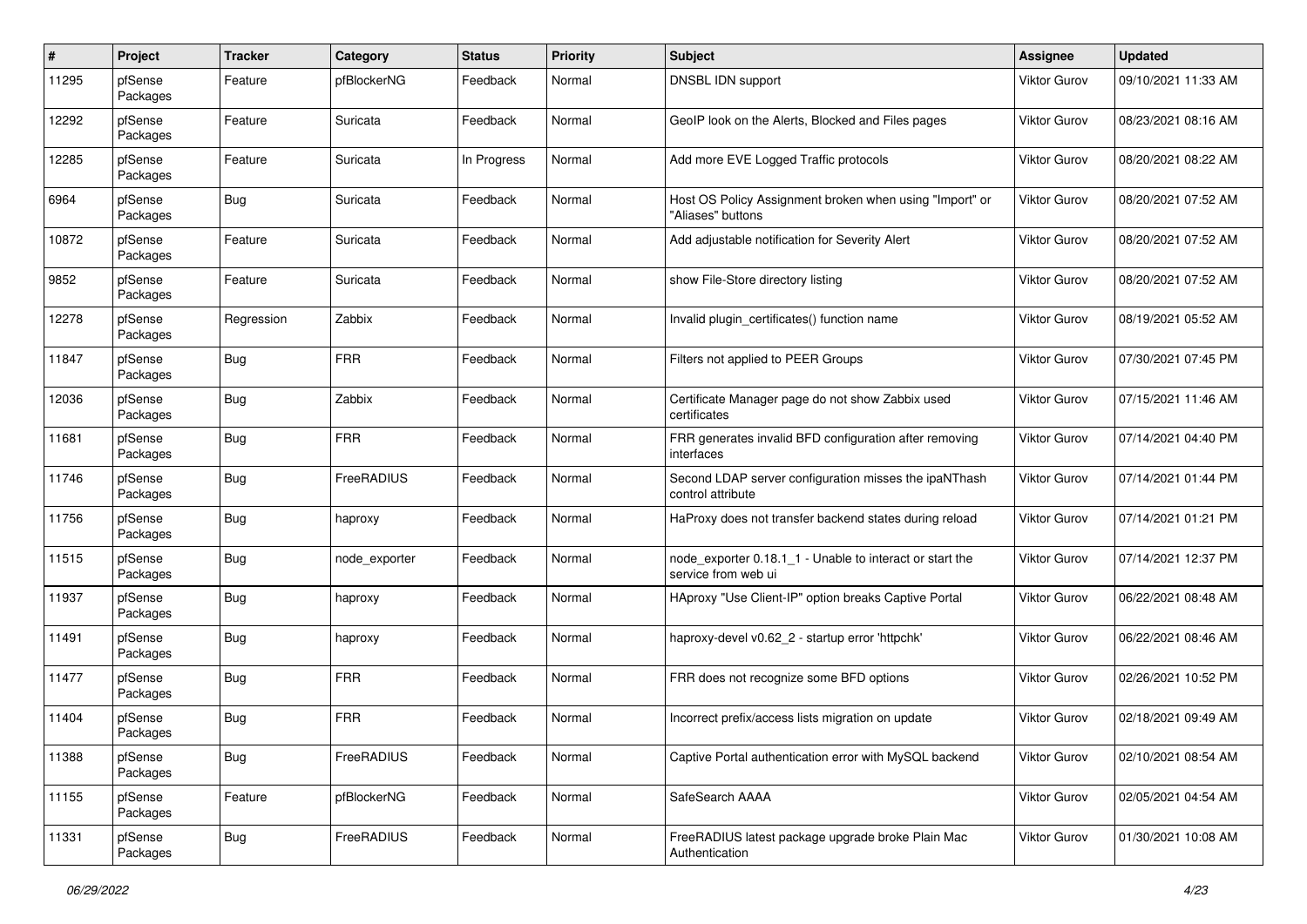| $\#$  | Project             | <b>Tracker</b> | Category          | <b>Status</b> | <b>Priority</b> | <b>Subject</b>                                                                  | <b>Assignee</b>     | <b>Updated</b>      |
|-------|---------------------|----------------|-------------------|---------------|-----------------|---------------------------------------------------------------------------------|---------------------|---------------------|
| 11295 | pfSense<br>Packages | Feature        | pfBlockerNG       | Feedback      | Normal          | DNSBL IDN support                                                               | <b>Viktor Gurov</b> | 09/10/2021 11:33 AM |
| 12292 | pfSense<br>Packages | Feature        | Suricata          | Feedback      | Normal          | GeoIP look on the Alerts, Blocked and Files pages                               | <b>Viktor Gurov</b> | 08/23/2021 08:16 AM |
| 12285 | pfSense<br>Packages | Feature        | Suricata          | In Progress   | Normal          | Add more EVE Logged Traffic protocols                                           | <b>Viktor Gurov</b> | 08/20/2021 08:22 AM |
| 6964  | pfSense<br>Packages | Bug            | Suricata          | Feedback      | Normal          | Host OS Policy Assignment broken when using "Import" or<br>"Aliases" buttons    | <b>Viktor Gurov</b> | 08/20/2021 07:52 AM |
| 10872 | pfSense<br>Packages | Feature        | Suricata          | Feedback      | Normal          | Add adjustable notification for Severity Alert                                  | Viktor Gurov        | 08/20/2021 07:52 AM |
| 9852  | pfSense<br>Packages | Feature        | Suricata          | Feedback      | Normal          | show File-Store directory listing                                               | Viktor Gurov        | 08/20/2021 07:52 AM |
| 12278 | pfSense<br>Packages | Regression     | Zabbix            | Feedback      | Normal          | Invalid plugin certificates() function name                                     | Viktor Gurov        | 08/19/2021 05:52 AM |
| 11847 | pfSense<br>Packages | Bug            | <b>FRR</b>        | Feedback      | Normal          | Filters not applied to PEER Groups                                              | Viktor Gurov        | 07/30/2021 07:45 PM |
| 12036 | pfSense<br>Packages | <b>Bug</b>     | Zabbix            | Feedback      | Normal          | Certificate Manager page do not show Zabbix used<br>certificates                | Viktor Gurov        | 07/15/2021 11:46 AM |
| 11681 | pfSense<br>Packages | Bug            | <b>FRR</b>        | Feedback      | Normal          | FRR generates invalid BFD configuration after removing<br>interfaces            | Viktor Gurov        | 07/14/2021 04:40 PM |
| 11746 | pfSense<br>Packages | Bug            | <b>FreeRADIUS</b> | Feedback      | Normal          | Second LDAP server configuration misses the ipaNThash<br>control attribute      | <b>Viktor Gurov</b> | 07/14/2021 01:44 PM |
| 11756 | pfSense<br>Packages | Bug            | haproxy           | Feedback      | Normal          | HaProxy does not transfer backend states during reload                          | <b>Viktor Gurov</b> | 07/14/2021 01:21 PM |
| 11515 | pfSense<br>Packages | Bug            | node exporter     | Feedback      | Normal          | node_exporter 0.18.1_1 - Unable to interact or start the<br>service from web ui | Viktor Gurov        | 07/14/2021 12:37 PM |
| 11937 | pfSense<br>Packages | Bug            | haproxy           | Feedback      | Normal          | HAproxy "Use Client-IP" option breaks Captive Portal                            | Viktor Gurov        | 06/22/2021 08:48 AM |
| 11491 | pfSense<br>Packages | Bug            | haproxy           | Feedback      | Normal          | haproxy-devel v0.62 2 - startup error 'httpchk'                                 | Viktor Gurov        | 06/22/2021 08:46 AM |
| 11477 | pfSense<br>Packages | Bug            | <b>FRR</b>        | Feedback      | Normal          | FRR does not recognize some BFD options                                         | Viktor Gurov        | 02/26/2021 10:52 PM |
| 11404 | pfSense<br>Packages | Bug            | <b>FRR</b>        | Feedback      | Normal          | Incorrect prefix/access lists migration on update                               | Viktor Gurov        | 02/18/2021 09:49 AM |
| 11388 | pfSense<br>Packages | <b>Bug</b>     | FreeRADIUS        | Feedback      | Normal          | Captive Portal authentication error with MySQL backend                          | Viktor Gurov        | 02/10/2021 08:54 AM |
| 11155 | pfSense<br>Packages | Feature        | pfBlockerNG       | Feedback      | Normal          | SafeSearch AAAA                                                                 | Viktor Gurov        | 02/05/2021 04:54 AM |
| 11331 | pfSense<br>Packages | <b>Bug</b>     | FreeRADIUS        | Feedback      | Normal          | FreeRADIUS latest package upgrade broke Plain Mac<br>Authentication             | Viktor Gurov        | 01/30/2021 10:08 AM |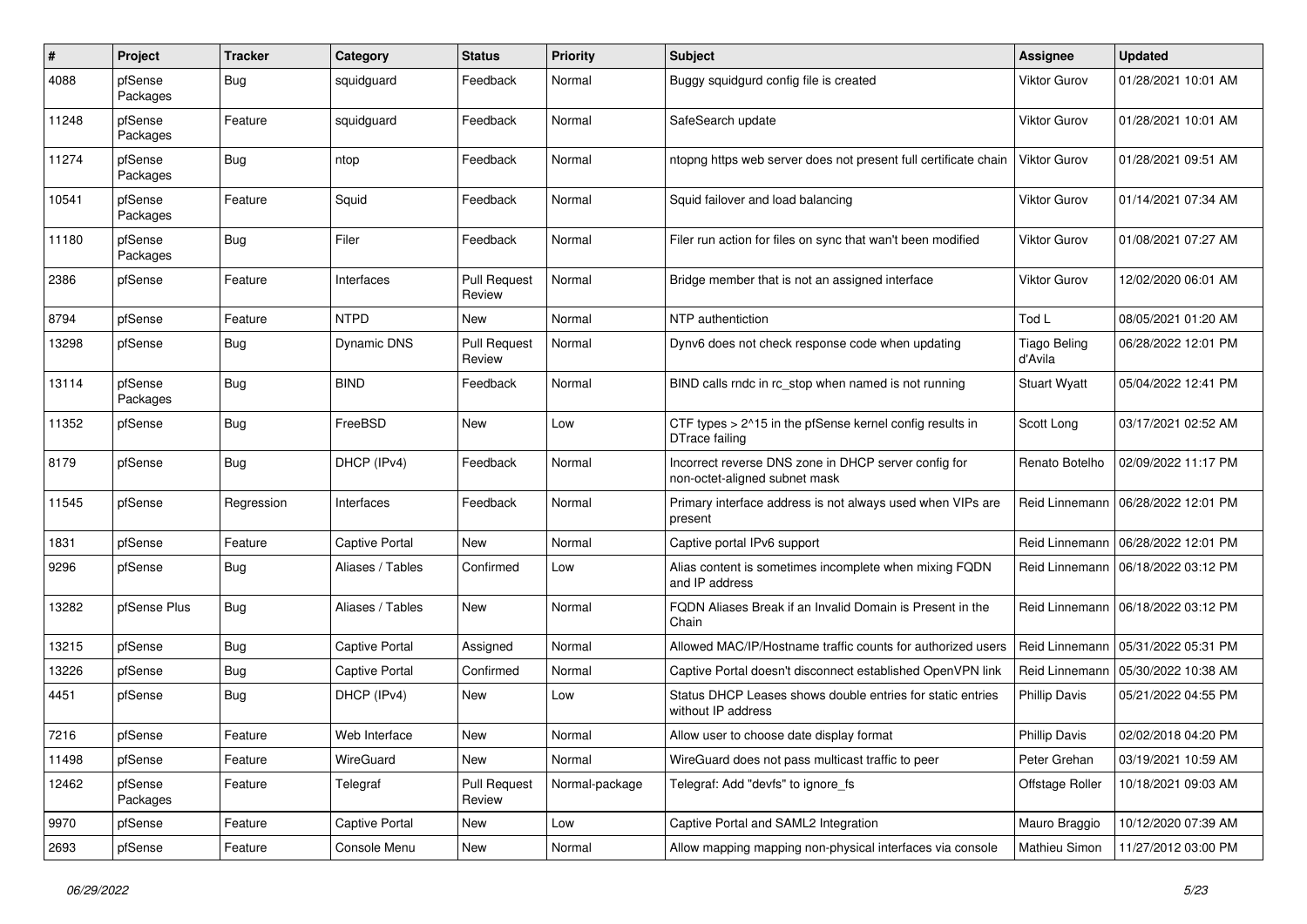| #     | Project             | <b>Tracker</b> | Category              | <b>Status</b>                 | <b>Priority</b> | <b>Subject</b>                                                                        | <b>Assignee</b>                | <b>Updated</b>      |
|-------|---------------------|----------------|-----------------------|-------------------------------|-----------------|---------------------------------------------------------------------------------------|--------------------------------|---------------------|
| 4088  | pfSense<br>Packages | Bug            | squidguard            | Feedback                      | Normal          | Buggy squidgurd config file is created                                                | <b>Viktor Gurov</b>            | 01/28/2021 10:01 AM |
| 11248 | pfSense<br>Packages | Feature        | squidguard            | Feedback                      | Normal          | SafeSearch update                                                                     | <b>Viktor Gurov</b>            | 01/28/2021 10:01 AM |
| 11274 | pfSense<br>Packages | Bug            | ntop                  | Feedback                      | Normal          | ntopng https web server does not present full certificate chain                       | <b>Viktor Gurov</b>            | 01/28/2021 09:51 AM |
| 10541 | pfSense<br>Packages | Feature        | Squid                 | Feedback                      | Normal          | Squid failover and load balancing                                                     | <b>Viktor Gurov</b>            | 01/14/2021 07:34 AM |
| 11180 | pfSense<br>Packages | Bug            | Filer                 | Feedback                      | Normal          | Filer run action for files on sync that wan't been modified                           | <b>Viktor Gurov</b>            | 01/08/2021 07:27 AM |
| 2386  | pfSense             | Feature        | Interfaces            | <b>Pull Request</b><br>Review | Normal          | Bridge member that is not an assigned interface                                       | <b>Viktor Gurov</b>            | 12/02/2020 06:01 AM |
| 8794  | pfSense             | Feature        | <b>NTPD</b>           | New                           | Normal          | NTP authentiction                                                                     | Tod L                          | 08/05/2021 01:20 AM |
| 13298 | pfSense             | <b>Bug</b>     | Dynamic DNS           | <b>Pull Request</b><br>Review | Normal          | Dynv6 does not check response code when updating                                      | <b>Tiago Beling</b><br>d'Avila | 06/28/2022 12:01 PM |
| 13114 | pfSense<br>Packages | Bug            | <b>BIND</b>           | Feedback                      | Normal          | BIND calls rndc in rc stop when named is not running                                  | <b>Stuart Wyatt</b>            | 05/04/2022 12:41 PM |
| 11352 | pfSense             | Bug            | FreeBSD               | New                           | Low             | CTF types > 2^15 in the pfSense kernel config results in<br>DTrace failing            | Scott Long                     | 03/17/2021 02:52 AM |
| 8179  | pfSense             | Bug            | DHCP (IPv4)           | Feedback                      | Normal          | Incorrect reverse DNS zone in DHCP server config for<br>non-octet-aligned subnet mask | Renato Botelho                 | 02/09/2022 11:17 PM |
| 11545 | pfSense             | Regression     | Interfaces            | Feedback                      | Normal          | Primary interface address is not always used when VIPs are<br>present                 | Reid Linnemann                 | 06/28/2022 12:01 PM |
| 1831  | pfSense             | Feature        | <b>Captive Portal</b> | New                           | Normal          | Captive portal IPv6 support                                                           | Reid Linnemann                 | 06/28/2022 12:01 PM |
| 9296  | pfSense             | <b>Bug</b>     | Aliases / Tables      | Confirmed                     | Low             | Alias content is sometimes incomplete when mixing FQDN<br>and IP address              | Reid Linnemann                 | 06/18/2022 03:12 PM |
| 13282 | pfSense Plus        | Bug            | Aliases / Tables      | New                           | Normal          | FQDN Aliases Break if an Invalid Domain is Present in the<br>Chain                    | Reid Linnemann                 | 06/18/2022 03:12 PM |
| 13215 | pfSense             | Bug            | <b>Captive Portal</b> | Assigned                      | Normal          | Allowed MAC/IP/Hostname traffic counts for authorized users                           | Reid Linnemann                 | 05/31/2022 05:31 PM |
| 13226 | pfSense             | Bug            | <b>Captive Portal</b> | Confirmed                     | Normal          | Captive Portal doesn't disconnect established OpenVPN link                            | Reid Linnemann                 | 05/30/2022 10:38 AM |
| 4451  | pfSense             | Bug            | DHCP (IPv4)           | New                           | Low             | Status DHCP Leases shows double entries for static entries<br>without IP address      | <b>Phillip Davis</b>           | 05/21/2022 04:55 PM |
| 7216  | pfSense             | Feature        | Web Interface         | New                           | Normal          | Allow user to choose date display format                                              | <b>Phillip Davis</b>           | 02/02/2018 04:20 PM |
| 11498 | pfSense             | Feature        | WireGuard             | New                           | Normal          | WireGuard does not pass multicast traffic to peer                                     | Peter Grehan                   | 03/19/2021 10:59 AM |
| 12462 | pfSense<br>Packages | Feature        | Telegraf              | <b>Pull Request</b><br>Review | Normal-package  | Telegraf: Add "devfs" to ignore_fs                                                    | Offstage Roller                | 10/18/2021 09:03 AM |
| 9970  | pfSense             | Feature        | <b>Captive Portal</b> | New                           | Low             | Captive Portal and SAML2 Integration                                                  | Mauro Braggio                  | 10/12/2020 07:39 AM |
| 2693  | pfSense             | Feature        | Console Menu          | New                           | Normal          | Allow mapping mapping non-physical interfaces via console                             | Mathieu Simon                  | 11/27/2012 03:00 PM |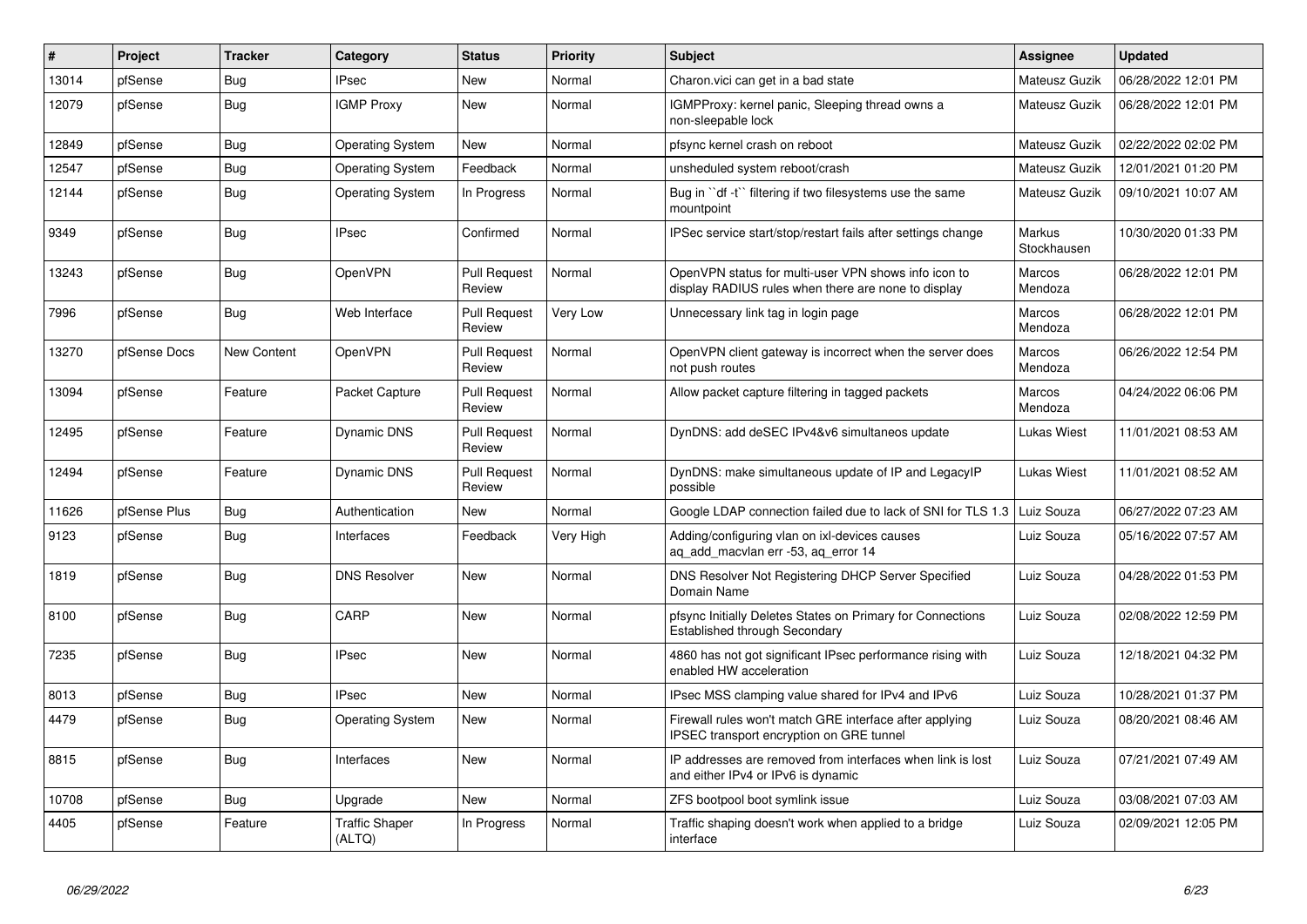| #     | Project      | <b>Tracker</b> | Category                        | <b>Status</b>                 | <b>Priority</b> | <b>Subject</b>                                                                                              | Assignee              | <b>Updated</b>      |
|-------|--------------|----------------|---------------------------------|-------------------------------|-----------------|-------------------------------------------------------------------------------------------------------------|-----------------------|---------------------|
| 13014 | pfSense      | <b>Bug</b>     | <b>IPsec</b>                    | <b>New</b>                    | Normal          | Charon.vici can get in a bad state                                                                          | Mateusz Guzik         | 06/28/2022 12:01 PM |
| 12079 | pfSense      | Bug            | <b>IGMP Proxy</b>               | <b>New</b>                    | Normal          | IGMPProxy: kernel panic, Sleeping thread owns a<br>non-sleepable lock                                       | Mateusz Guzik         | 06/28/2022 12:01 PM |
| 12849 | pfSense      | <b>Bug</b>     | <b>Operating System</b>         | New                           | Normal          | pfsync kernel crash on reboot                                                                               | Mateusz Guzik         | 02/22/2022 02:02 PM |
| 12547 | pfSense      | <b>Bug</b>     | <b>Operating System</b>         | Feedback                      | Normal          | unsheduled system reboot/crash                                                                              | Mateusz Guzik         | 12/01/2021 01:20 PM |
| 12144 | pfSense      | Bug            | <b>Operating System</b>         | In Progress                   | Normal          | Bug in "df -t" filtering if two filesystems use the same<br>mountpoint                                      | Mateusz Guzik         | 09/10/2021 10:07 AM |
| 9349  | pfSense      | <b>Bug</b>     | <b>IPsec</b>                    | Confirmed                     | Normal          | IPSec service start/stop/restart fails after settings change                                                | Markus<br>Stockhausen | 10/30/2020 01:33 PM |
| 13243 | pfSense      | <b>Bug</b>     | OpenVPN                         | <b>Pull Request</b><br>Review | Normal          | OpenVPN status for multi-user VPN shows info icon to<br>display RADIUS rules when there are none to display | Marcos<br>Mendoza     | 06/28/2022 12:01 PM |
| 7996  | pfSense      | <b>Bug</b>     | Web Interface                   | <b>Pull Request</b><br>Review | Very Low        | Unnecessary link tag in login page                                                                          | Marcos<br>Mendoza     | 06/28/2022 12:01 PM |
| 13270 | pfSense Docs | New Content    | OpenVPN                         | <b>Pull Request</b><br>Review | Normal          | OpenVPN client gateway is incorrect when the server does<br>not push routes                                 | Marcos<br>Mendoza     | 06/26/2022 12:54 PM |
| 13094 | pfSense      | Feature        | Packet Capture                  | <b>Pull Request</b><br>Review | Normal          | Allow packet capture filtering in tagged packets                                                            | Marcos<br>Mendoza     | 04/24/2022 06:06 PM |
| 12495 | pfSense      | Feature        | Dynamic DNS                     | <b>Pull Request</b><br>Review | Normal          | DynDNS: add deSEC IPv4&v6 simultaneos update                                                                | Lukas Wiest           | 11/01/2021 08:53 AM |
| 12494 | pfSense      | Feature        | Dynamic DNS                     | <b>Pull Request</b><br>Review | Normal          | DynDNS: make simultaneous update of IP and LegacyIP<br>possible                                             | Lukas Wiest           | 11/01/2021 08:52 AM |
| 11626 | pfSense Plus | <b>Bug</b>     | Authentication                  | <b>New</b>                    | Normal          | Google LDAP connection failed due to lack of SNI for TLS 1.3                                                | Luiz Souza            | 06/27/2022 07:23 AM |
| 9123  | pfSense      | Bug            | Interfaces                      | Feedback                      | Very High       | Adding/configuring vlan on ixl-devices causes<br>ag add macvlan err -53, ag error 14                        | Luiz Souza            | 05/16/2022 07:57 AM |
| 1819  | pfSense      | Bug            | <b>DNS Resolver</b>             | <b>New</b>                    | Normal          | DNS Resolver Not Registering DHCP Server Specified<br>Domain Name                                           | Luiz Souza            | 04/28/2022 01:53 PM |
| 8100  | pfSense      | <b>Bug</b>     | CARP                            | <b>New</b>                    | Normal          | pfsync Initially Deletes States on Primary for Connections<br><b>Established through Secondary</b>          | Luiz Souza            | 02/08/2022 12:59 PM |
| 7235  | pfSense      | <b>Bug</b>     | <b>IPsec</b>                    | <b>New</b>                    | Normal          | 4860 has not got significant IPsec performance rising with<br>enabled HW acceleration                       | Luiz Souza            | 12/18/2021 04:32 PM |
| 8013  | pfSense      | <b>Bug</b>     | <b>IPsec</b>                    | <b>New</b>                    | Normal          | IPsec MSS clamping value shared for IPv4 and IPv6                                                           | Luiz Souza            | 10/28/2021 01:37 PM |
| 4479  | pfSense      | Bug            | <b>Operating System</b>         | <b>New</b>                    | Normal          | Firewall rules won't match GRE interface after applying<br>IPSEC transport encryption on GRE tunnel         | Luiz Souza            | 08/20/2021 08:46 AM |
| 8815  | pfSense      | <b>Bug</b>     | Interfaces                      | <b>New</b>                    | Normal          | IP addresses are removed from interfaces when link is lost<br>and either IPv4 or IPv6 is dynamic            | Luiz Souza            | 07/21/2021 07:49 AM |
| 10708 | pfSense      | <b>Bug</b>     | Upgrade                         | <b>New</b>                    | Normal          | ZFS bootpool boot symlink issue                                                                             | Luiz Souza            | 03/08/2021 07:03 AM |
| 4405  | pfSense      | Feature        | <b>Traffic Shaper</b><br>(ALTQ) | In Progress                   | Normal          | Traffic shaping doesn't work when applied to a bridge<br>interface                                          | Luiz Souza            | 02/09/2021 12:05 PM |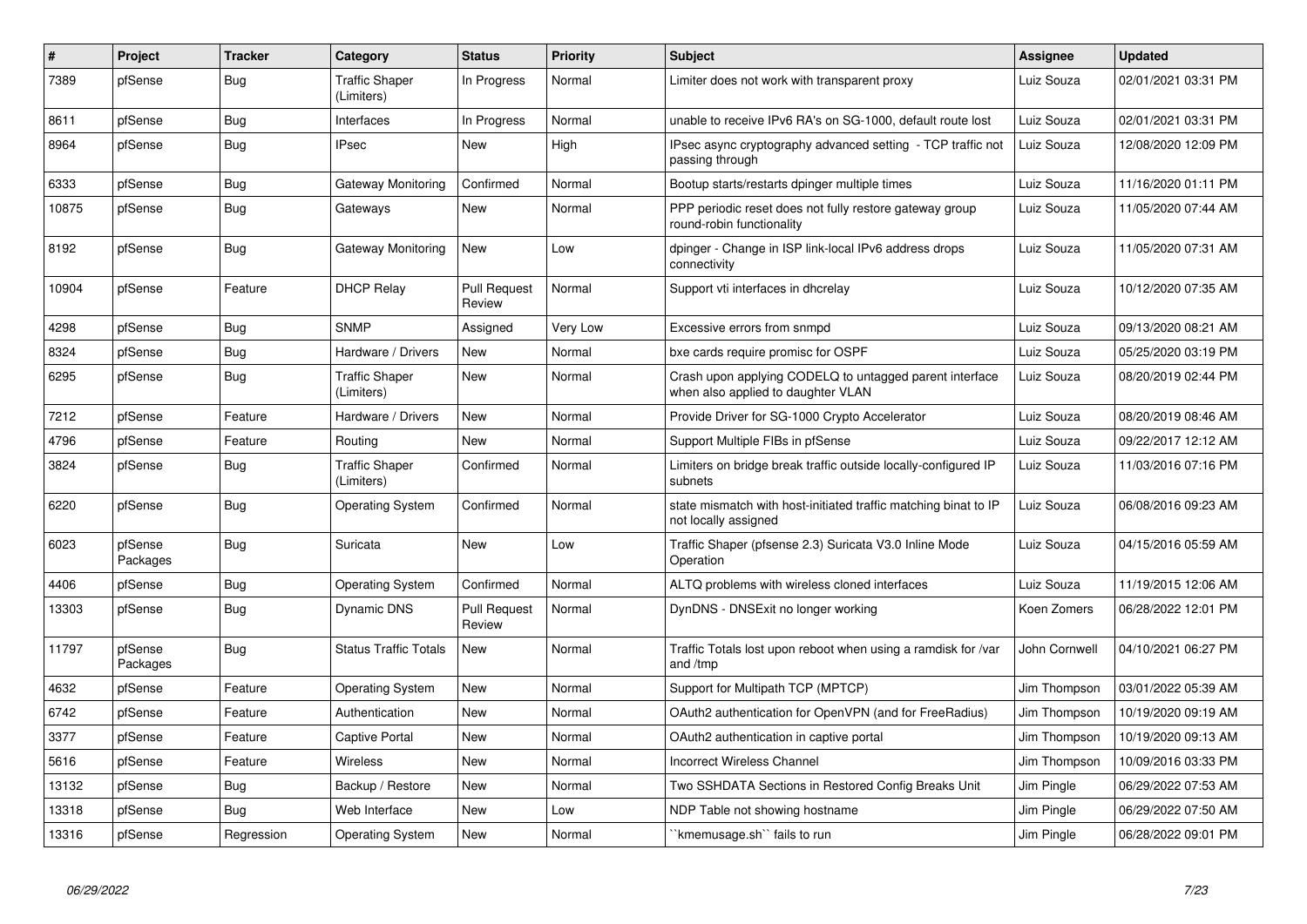| $\#$  | <b>Project</b>      | <b>Tracker</b> | Category                            | <b>Status</b>                 | Priority | <b>Subject</b>                                                                                | Assignee      | <b>Updated</b>      |
|-------|---------------------|----------------|-------------------------------------|-------------------------------|----------|-----------------------------------------------------------------------------------------------|---------------|---------------------|
| 7389  | pfSense             | Bug            | <b>Traffic Shaper</b><br>(Limiters) | In Progress                   | Normal   | Limiter does not work with transparent proxy                                                  | Luiz Souza    | 02/01/2021 03:31 PM |
| 8611  | pfSense             | Bug            | Interfaces                          | In Progress                   | Normal   | unable to receive IPv6 RA's on SG-1000, default route lost                                    | Luiz Souza    | 02/01/2021 03:31 PM |
| 8964  | pfSense             | <b>Bug</b>     | <b>IPsec</b>                        | <b>New</b>                    | High     | IPsec async cryptography advanced setting - TCP traffic not<br>passing through                | Luiz Souza    | 12/08/2020 12:09 PM |
| 6333  | pfSense             | <b>Bug</b>     | Gateway Monitoring                  | Confirmed                     | Normal   | Bootup starts/restarts dpinger multiple times                                                 | Luiz Souza    | 11/16/2020 01:11 PM |
| 10875 | pfSense             | Bug            | Gateways                            | New                           | Normal   | PPP periodic reset does not fully restore gateway group<br>round-robin functionality          | Luiz Souza    | 11/05/2020 07:44 AM |
| 8192  | pfSense             | <b>Bug</b>     | <b>Gateway Monitoring</b>           | New                           | Low      | dpinger - Change in ISP link-local IPv6 address drops<br>connectivity                         | Luiz Souza    | 11/05/2020 07:31 AM |
| 10904 | pfSense             | Feature        | <b>DHCP Relay</b>                   | <b>Pull Request</b><br>Review | Normal   | Support vti interfaces in dhcrelay                                                            | Luiz Souza    | 10/12/2020 07:35 AM |
| 4298  | pfSense             | Bug            | <b>SNMP</b>                         | Assigned                      | Very Low | Excessive errors from snmpd                                                                   | Luiz Souza    | 09/13/2020 08:21 AM |
| 8324  | pfSense             | Bug            | Hardware / Drivers                  | <b>New</b>                    | Normal   | bxe cards require promisc for OSPF                                                            | Luiz Souza    | 05/25/2020 03:19 PM |
| 6295  | pfSense             | Bug            | <b>Traffic Shaper</b><br>(Limiters) | New                           | Normal   | Crash upon applying CODELQ to untagged parent interface<br>when also applied to daughter VLAN | Luiz Souza    | 08/20/2019 02:44 PM |
| 7212  | pfSense             | Feature        | Hardware / Drivers                  | <b>New</b>                    | Normal   | Provide Driver for SG-1000 Crypto Accelerator                                                 | Luiz Souza    | 08/20/2019 08:46 AM |
| 4796  | pfSense             | Feature        | Routing                             | <b>New</b>                    | Normal   | Support Multiple FIBs in pfSense                                                              | Luiz Souza    | 09/22/2017 12:12 AM |
| 3824  | pfSense             | Bug            | <b>Traffic Shaper</b><br>(Limiters) | Confirmed                     | Normal   | Limiters on bridge break traffic outside locally-configured IP<br>subnets                     | Luiz Souza    | 11/03/2016 07:16 PM |
| 6220  | pfSense             | <b>Bug</b>     | <b>Operating System</b>             | Confirmed                     | Normal   | state mismatch with host-initiated traffic matching binat to IP<br>not locally assigned       | Luiz Souza    | 06/08/2016 09:23 AM |
| 6023  | pfSense<br>Packages | <b>Bug</b>     | Suricata                            | <b>New</b>                    | Low      | Traffic Shaper (pfsense 2.3) Suricata V3.0 Inline Mode<br>Operation                           | Luiz Souza    | 04/15/2016 05:59 AM |
| 4406  | pfSense             | Bug            | <b>Operating System</b>             | Confirmed                     | Normal   | ALTQ problems with wireless cloned interfaces                                                 | Luiz Souza    | 11/19/2015 12:06 AM |
| 13303 | pfSense             | Bug            | Dynamic DNS                         | <b>Pull Request</b><br>Review | Normal   | DynDNS - DNSExit no longer working                                                            | Koen Zomers   | 06/28/2022 12:01 PM |
| 11797 | pfSense<br>Packages | Bug            | <b>Status Traffic Totals</b>        | <b>New</b>                    | Normal   | Traffic Totals lost upon reboot when using a ramdisk for /var<br>and /tmp                     | John Cornwell | 04/10/2021 06:27 PM |
| 4632  | pfSense             | Feature        | <b>Operating System</b>             | New                           | Normal   | Support for Multipath TCP (MPTCP)                                                             | Jim Thompson  | 03/01/2022 05:39 AM |
| 6742  | pfSense             | Feature        | Authentication                      | New                           | Normal   | OAuth2 authentication for OpenVPN (and for FreeRadius)                                        | Jim Thompson  | 10/19/2020 09:19 AM |
| 3377  | pfSense             | Feature        | <b>Captive Portal</b>               | New                           | Normal   | OAuth2 authentication in captive portal                                                       | Jim Thompson  | 10/19/2020 09:13 AM |
| 5616  | pfSense             | Feature        | <b>Wireless</b>                     | <b>New</b>                    | Normal   | Incorrect Wireless Channel                                                                    | Jim Thompson  | 10/09/2016 03:33 PM |
| 13132 | pfSense             | Bug            | Backup / Restore                    | New                           | Normal   | Two SSHDATA Sections in Restored Config Breaks Unit                                           | Jim Pingle    | 06/29/2022 07:53 AM |
| 13318 | pfSense             | Bug            | Web Interface                       | <b>New</b>                    | Low      | NDP Table not showing hostname                                                                | Jim Pingle    | 06/29/2022 07:50 AM |
| 13316 | pfSense             | Regression     | <b>Operating System</b>             | <b>New</b>                    | Normal   | `kmemusage.sh`` fails to run                                                                  | Jim Pingle    | 06/28/2022 09:01 PM |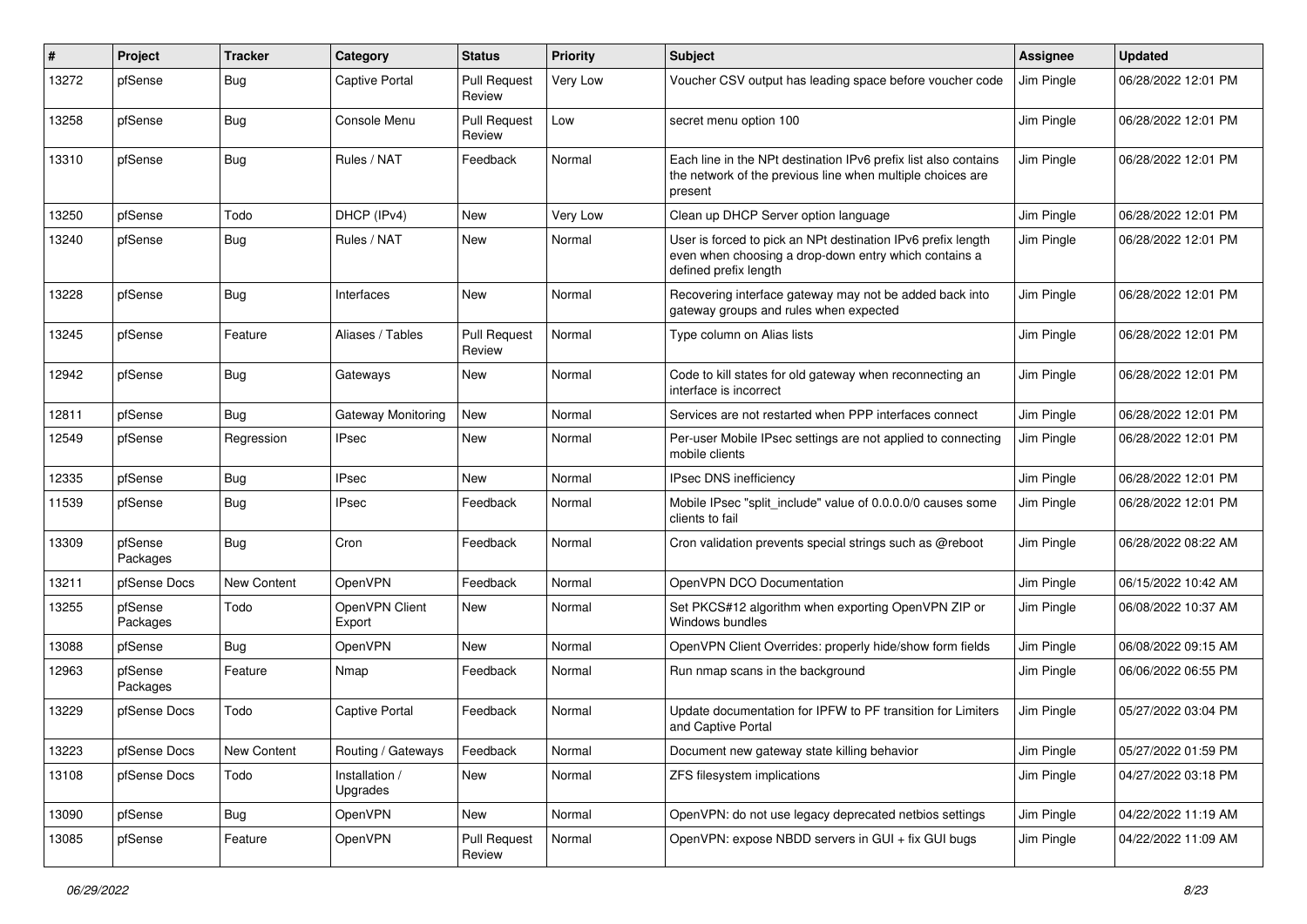| #     | Project             | <b>Tracker</b> | Category                   | <b>Status</b>                 | <b>Priority</b> | <b>Subject</b>                                                                                                                                 | Assignee   | <b>Updated</b>      |
|-------|---------------------|----------------|----------------------------|-------------------------------|-----------------|------------------------------------------------------------------------------------------------------------------------------------------------|------------|---------------------|
| 13272 | pfSense             | Bug            | <b>Captive Portal</b>      | <b>Pull Request</b><br>Review | Very Low        | Voucher CSV output has leading space before voucher code                                                                                       | Jim Pingle | 06/28/2022 12:01 PM |
| 13258 | pfSense             | Bug            | Console Menu               | <b>Pull Request</b><br>Review | Low             | secret menu option 100                                                                                                                         | Jim Pingle | 06/28/2022 12:01 PM |
| 13310 | pfSense             | <b>Bug</b>     | Rules / NAT                | Feedback                      | Normal          | Each line in the NPt destination IPv6 prefix list also contains<br>the network of the previous line when multiple choices are<br>present       | Jim Pingle | 06/28/2022 12:01 PM |
| 13250 | pfSense             | Todo           | DHCP (IPv4)                | <b>New</b>                    | Very Low        | Clean up DHCP Server option language                                                                                                           | Jim Pingle | 06/28/2022 12:01 PM |
| 13240 | pfSense             | Bug            | Rules / NAT                | New                           | Normal          | User is forced to pick an NPt destination IPv6 prefix length<br>even when choosing a drop-down entry which contains a<br>defined prefix length | Jim Pingle | 06/28/2022 12:01 PM |
| 13228 | pfSense             | Bug            | Interfaces                 | New                           | Normal          | Recovering interface gateway may not be added back into<br>gateway groups and rules when expected                                              | Jim Pingle | 06/28/2022 12:01 PM |
| 13245 | pfSense             | Feature        | Aliases / Tables           | <b>Pull Request</b><br>Review | Normal          | Type column on Alias lists                                                                                                                     | Jim Pingle | 06/28/2022 12:01 PM |
| 12942 | pfSense             | <b>Bug</b>     | Gateways                   | New                           | Normal          | Code to kill states for old gateway when reconnecting an<br>interface is incorrect                                                             | Jim Pingle | 06/28/2022 12:01 PM |
| 12811 | pfSense             | Bug            | Gateway Monitoring         | New                           | Normal          | Services are not restarted when PPP interfaces connect                                                                                         | Jim Pingle | 06/28/2022 12:01 PM |
| 12549 | pfSense             | Regression     | <b>IPsec</b>               | New                           | Normal          | Per-user Mobile IPsec settings are not applied to connecting<br>mobile clients                                                                 | Jim Pingle | 06/28/2022 12:01 PM |
| 12335 | pfSense             | <b>Bug</b>     | <b>IPsec</b>               | New                           | Normal          | <b>IPsec DNS inefficiency</b>                                                                                                                  | Jim Pingle | 06/28/2022 12:01 PM |
| 11539 | pfSense             | Bug            | <b>IPsec</b>               | Feedback                      | Normal          | Mobile IPsec "split include" value of 0.0.0.0/0 causes some<br>clients to fail                                                                 | Jim Pingle | 06/28/2022 12:01 PM |
| 13309 | pfSense<br>Packages | Bug            | Cron                       | Feedback                      | Normal          | Cron validation prevents special strings such as @reboot                                                                                       | Jim Pingle | 06/28/2022 08:22 AM |
| 13211 | pfSense Docs        | New Content    | OpenVPN                    | Feedback                      | Normal          | OpenVPN DCO Documentation                                                                                                                      | Jim Pingle | 06/15/2022 10:42 AM |
| 13255 | pfSense<br>Packages | Todo           | OpenVPN Client<br>Export   | New                           | Normal          | Set PKCS#12 algorithm when exporting OpenVPN ZIP or<br>Windows bundles                                                                         | Jim Pingle | 06/08/2022 10:37 AM |
| 13088 | pfSense             | Bug            | OpenVPN                    | New                           | Normal          | OpenVPN Client Overrides: properly hide/show form fields                                                                                       | Jim Pingle | 06/08/2022 09:15 AM |
| 12963 | pfSense<br>Packages | Feature        | Nmap                       | Feedback                      | Normal          | Run nmap scans in the background                                                                                                               | Jim Pingle | 06/06/2022 06:55 PM |
| 13229 | pfSense Docs        | Todo           | <b>Captive Portal</b>      | Feedback                      | Normal          | Update documentation for IPFW to PF transition for Limiters<br>and Captive Portal                                                              | Jim Pingle | 05/27/2022 03:04 PM |
| 13223 | pfSense Docs        | New Content    | Routing / Gateways         | Feedback                      | Normal          | Document new gateway state killing behavior                                                                                                    | Jim Pingle | 05/27/2022 01:59 PM |
| 13108 | pfSense Docs        | Todo           | Installation /<br>Upgrades | New                           | Normal          | ZFS filesystem implications                                                                                                                    | Jim Pingle | 04/27/2022 03:18 PM |
| 13090 | pfSense             | <b>Bug</b>     | OpenVPN                    | New                           | Normal          | OpenVPN: do not use legacy deprecated netbios settings                                                                                         | Jim Pingle | 04/22/2022 11:19 AM |
| 13085 | pfSense             | Feature        | OpenVPN                    | <b>Pull Request</b><br>Review | Normal          | OpenVPN: expose NBDD servers in GUI + fix GUI bugs                                                                                             | Jim Pingle | 04/22/2022 11:09 AM |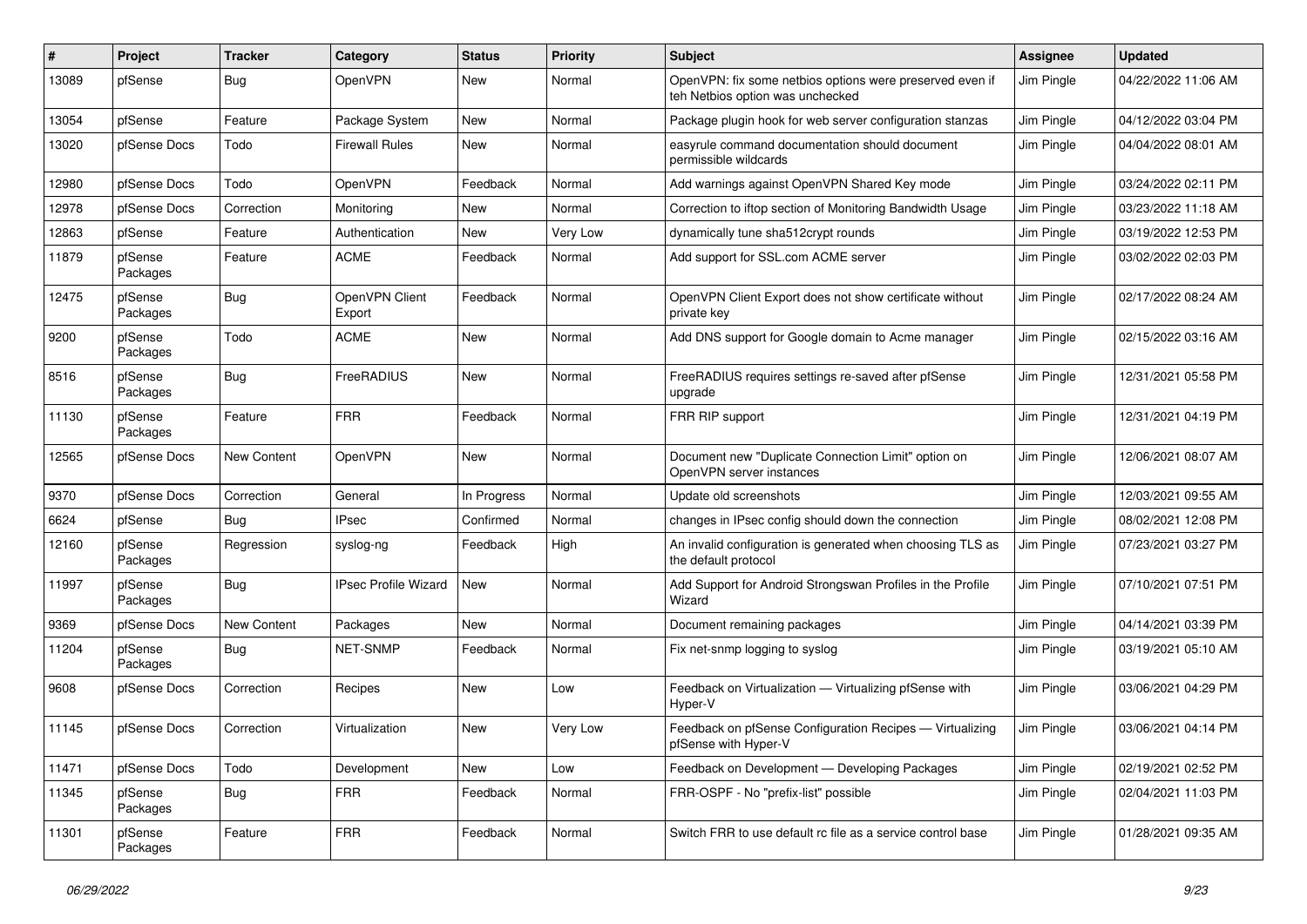| $\pmb{\#}$ | Project             | Tracker            | Category                 | <b>Status</b> | <b>Priority</b> | Subject                                                                                      | <b>Assignee</b> | <b>Updated</b>      |
|------------|---------------------|--------------------|--------------------------|---------------|-----------------|----------------------------------------------------------------------------------------------|-----------------|---------------------|
| 13089      | pfSense             | Bug                | OpenVPN                  | New           | Normal          | OpenVPN: fix some netbios options were preserved even if<br>teh Netbios option was unchecked | Jim Pingle      | 04/22/2022 11:06 AM |
| 13054      | pfSense             | Feature            | Package System           | New           | Normal          | Package plugin hook for web server configuration stanzas                                     | Jim Pingle      | 04/12/2022 03:04 PM |
| 13020      | pfSense Docs        | Todo               | <b>Firewall Rules</b>    | New           | Normal          | easyrule command documentation should document<br>permissible wildcards                      | Jim Pingle      | 04/04/2022 08:01 AM |
| 12980      | pfSense Docs        | Todo               | OpenVPN                  | Feedback      | Normal          | Add warnings against OpenVPN Shared Key mode                                                 | Jim Pingle      | 03/24/2022 02:11 PM |
| 12978      | pfSense Docs        | Correction         | Monitoring               | New           | Normal          | Correction to iftop section of Monitoring Bandwidth Usage                                    | Jim Pingle      | 03/23/2022 11:18 AM |
| 12863      | pfSense             | Feature            | Authentication           | New           | Very Low        | dynamically tune sha512crypt rounds                                                          | Jim Pingle      | 03/19/2022 12:53 PM |
| 11879      | pfSense<br>Packages | Feature            | <b>ACME</b>              | Feedback      | Normal          | Add support for SSL.com ACME server                                                          | Jim Pingle      | 03/02/2022 02:03 PM |
| 12475      | pfSense<br>Packages | Bug                | OpenVPN Client<br>Export | Feedback      | Normal          | OpenVPN Client Export does not show certificate without<br>private key                       | Jim Pingle      | 02/17/2022 08:24 AM |
| 9200       | pfSense<br>Packages | Todo               | <b>ACME</b>              | New           | Normal          | Add DNS support for Google domain to Acme manager                                            | Jim Pingle      | 02/15/2022 03:16 AM |
| 8516       | pfSense<br>Packages | Bug                | FreeRADIUS               | New           | Normal          | FreeRADIUS requires settings re-saved after pfSense<br>upgrade                               | Jim Pingle      | 12/31/2021 05:58 PM |
| 11130      | pfSense<br>Packages | Feature            | <b>FRR</b>               | Feedback      | Normal          | FRR RIP support                                                                              | Jim Pingle      | 12/31/2021 04:19 PM |
| 12565      | pfSense Docs        | New Content        | OpenVPN                  | New           | Normal          | Document new "Duplicate Connection Limit" option on<br>OpenVPN server instances              | Jim Pingle      | 12/06/2021 08:07 AM |
| 9370       | pfSense Docs        | Correction         | General                  | In Progress   | Normal          | Update old screenshots                                                                       | Jim Pingle      | 12/03/2021 09:55 AM |
| 6624       | pfSense             | Bug                | <b>IPsec</b>             | Confirmed     | Normal          | changes in IPsec config should down the connection                                           | Jim Pingle      | 08/02/2021 12:08 PM |
| 12160      | pfSense<br>Packages | Regression         | syslog-ng                | Feedback      | High            | An invalid configuration is generated when choosing TLS as<br>the default protocol           | Jim Pingle      | 07/23/2021 03:27 PM |
| 11997      | pfSense<br>Packages | <b>Bug</b>         | IPsec Profile Wizard     | New           | Normal          | Add Support for Android Strongswan Profiles in the Profile<br>Wizard                         | Jim Pingle      | 07/10/2021 07:51 PM |
| 9369       | pfSense Docs        | <b>New Content</b> | Packages                 | New           | Normal          | Document remaining packages                                                                  | Jim Pingle      | 04/14/2021 03:39 PM |
| 11204      | pfSense<br>Packages | Bug                | NET-SNMP                 | Feedback      | Normal          | Fix net-snmp logging to syslog                                                               | Jim Pingle      | 03/19/2021 05:10 AM |
| 9608       | pfSense Docs        | Correction         | Recipes                  | New           | Low             | Feedback on Virtualization - Virtualizing pfSense with<br>Hyper-V                            | Jim Pingle      | 03/06/2021 04:29 PM |
| 11145      | pfSense Docs        | Correction         | Virtualization           | New           | Very Low        | Feedback on pfSense Configuration Recipes - Virtualizing<br>pfSense with Hyper-V             | Jim Pingle      | 03/06/2021 04:14 PM |
| 11471      | pfSense Docs        | Todo               | Development              | New           | Low             | Feedback on Development - Developing Packages                                                | Jim Pingle      | 02/19/2021 02:52 PM |
| 11345      | pfSense<br>Packages | Bug                | <b>FRR</b>               | Feedback      | Normal          | FRR-OSPF - No "prefix-list" possible                                                         | Jim Pingle      | 02/04/2021 11:03 PM |
| 11301      | pfSense<br>Packages | Feature            | <b>FRR</b>               | Feedback      | Normal          | Switch FRR to use default rc file as a service control base                                  | Jim Pingle      | 01/28/2021 09:35 AM |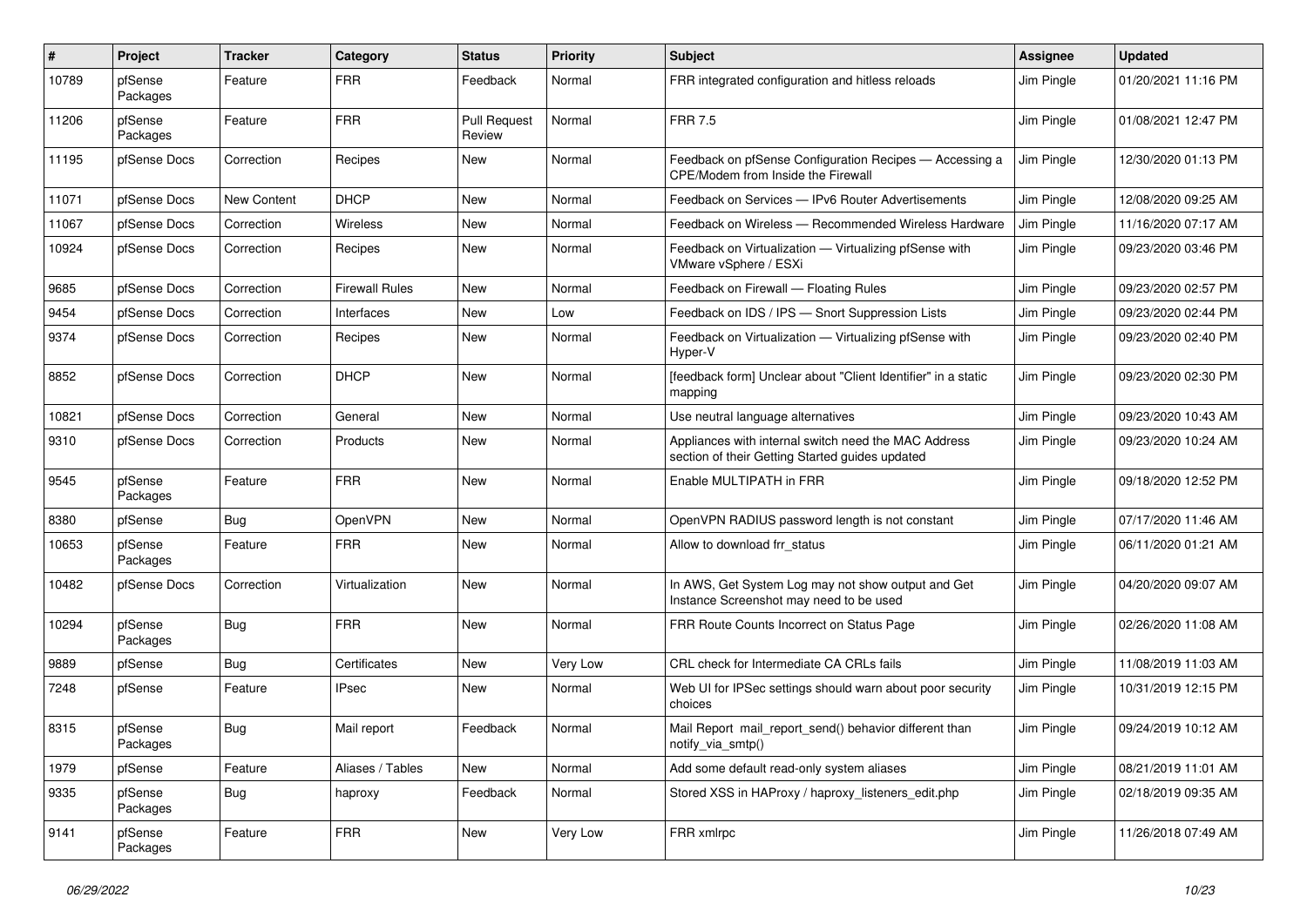| $\vert$ # | Project             | <b>Tracker</b>     | Category              | <b>Status</b>                 | Priority | <b>Subject</b>                                                                                          | Assignee   | <b>Updated</b>      |
|-----------|---------------------|--------------------|-----------------------|-------------------------------|----------|---------------------------------------------------------------------------------------------------------|------------|---------------------|
| 10789     | pfSense<br>Packages | Feature            | <b>FRR</b>            | Feedback                      | Normal   | FRR integrated configuration and hitless reloads                                                        | Jim Pingle | 01/20/2021 11:16 PM |
| 11206     | pfSense<br>Packages | Feature            | <b>FRR</b>            | <b>Pull Request</b><br>Review | Normal   | <b>FRR 7.5</b>                                                                                          | Jim Pingle | 01/08/2021 12:47 PM |
| 11195     | pfSense Docs        | Correction         | Recipes               | New                           | Normal   | Feedback on pfSense Configuration Recipes - Accessing a<br><b>CPE/Modem from Inside the Firewall</b>    | Jim Pingle | 12/30/2020 01:13 PM |
| 11071     | pfSense Docs        | <b>New Content</b> | <b>DHCP</b>           | New                           | Normal   | Feedback on Services - IPv6 Router Advertisements                                                       | Jim Pingle | 12/08/2020 09:25 AM |
| 11067     | pfSense Docs        | Correction         | Wireless              | <b>New</b>                    | Normal   | Feedback on Wireless — Recommended Wireless Hardware                                                    | Jim Pingle | 11/16/2020 07:17 AM |
| 10924     | pfSense Docs        | Correction         | Recipes               | New                           | Normal   | Feedback on Virtualization - Virtualizing pfSense with<br>VMware vSphere / ESXi                         | Jim Pingle | 09/23/2020 03:46 PM |
| 9685      | pfSense Docs        | Correction         | <b>Firewall Rules</b> | <b>New</b>                    | Normal   | Feedback on Firewall - Floating Rules                                                                   | Jim Pingle | 09/23/2020 02:57 PM |
| 9454      | pfSense Docs        | Correction         | Interfaces            | <b>New</b>                    | Low      | Feedback on IDS / IPS - Snort Suppression Lists                                                         | Jim Pingle | 09/23/2020 02:44 PM |
| 9374      | pfSense Docs        | Correction         | Recipes               | New                           | Normal   | Feedback on Virtualization - Virtualizing pfSense with<br>Hyper-V                                       | Jim Pingle | 09/23/2020 02:40 PM |
| 8852      | pfSense Docs        | Correction         | <b>DHCP</b>           | New                           | Normal   | [feedback form] Unclear about "Client Identifier" in a static<br>mapping                                | Jim Pingle | 09/23/2020 02:30 PM |
| 10821     | pfSense Docs        | Correction         | General               | New                           | Normal   | Use neutral language alternatives                                                                       | Jim Pingle | 09/23/2020 10:43 AM |
| 9310      | pfSense Docs        | Correction         | Products              | New                           | Normal   | Appliances with internal switch need the MAC Address<br>section of their Getting Started guides updated | Jim Pingle | 09/23/2020 10:24 AM |
| 9545      | pfSense<br>Packages | Feature            | <b>FRR</b>            | New                           | Normal   | Enable MULTIPATH in FRR                                                                                 | Jim Pingle | 09/18/2020 12:52 PM |
| 8380      | pfSense             | <b>Bug</b>         | OpenVPN               | <b>New</b>                    | Normal   | OpenVPN RADIUS password length is not constant                                                          | Jim Pingle | 07/17/2020 11:46 AM |
| 10653     | pfSense<br>Packages | Feature            | <b>FRR</b>            | New                           | Normal   | Allow to download frr_status                                                                            | Jim Pingle | 06/11/2020 01:21 AM |
| 10482     | pfSense Docs        | Correction         | Virtualization        | <b>New</b>                    | Normal   | In AWS, Get System Log may not show output and Get<br>Instance Screenshot may need to be used           | Jim Pingle | 04/20/2020 09:07 AM |
| 10294     | pfSense<br>Packages | Bug                | <b>FRR</b>            | New                           | Normal   | FRR Route Counts Incorrect on Status Page                                                               | Jim Pingle | 02/26/2020 11:08 AM |
| 9889      | pfSense             | <b>Bug</b>         | Certificates          | New                           | Very Low | CRL check for Intermediate CA CRLs fails                                                                | Jim Pingle | 11/08/2019 11:03 AM |
| 7248      | pfSense             | Feature            | <b>IPsec</b>          | New                           | Normal   | Web UI for IPSec settings should warn about poor security<br>choices                                    | Jim Pingle | 10/31/2019 12:15 PM |
| 8315      | pfSense<br>Packages | <b>Bug</b>         | Mail report           | Feedback                      | Normal   | Mail Report mail_report_send() behavior different than<br>notify via smtp()                             | Jim Pingle | 09/24/2019 10:12 AM |
| 1979      | pfSense             | Feature            | Aliases / Tables      | <b>New</b>                    | Normal   | Add some default read-only system aliases                                                               | Jim Pingle | 08/21/2019 11:01 AM |
| 9335      | pfSense<br>Packages | <b>Bug</b>         | haproxy               | Feedback                      | Normal   | Stored XSS in HAProxy / haproxy_listeners_edit.php                                                      | Jim Pingle | 02/18/2019 09:35 AM |
| 9141      | pfSense<br>Packages | Feature            | <b>FRR</b>            | New                           | Very Low | FRR xmlrpc                                                                                              | Jim Pingle | 11/26/2018 07:49 AM |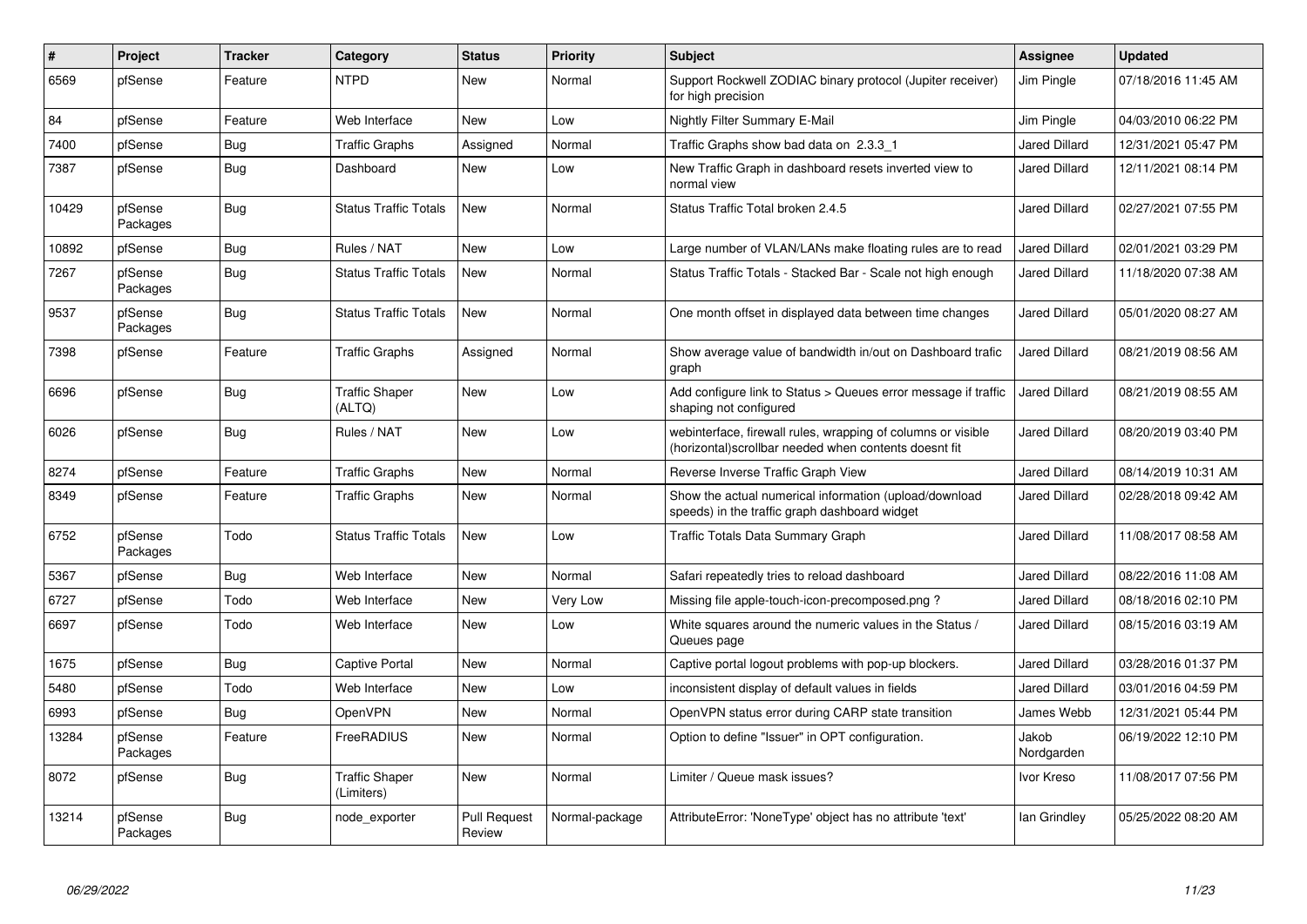| $\#$  | <b>Project</b>      | <b>Tracker</b> | Category                            | <b>Status</b>                 | <b>Priority</b> | <b>Subject</b>                                                                                                        | Assignee             | <b>Updated</b>      |
|-------|---------------------|----------------|-------------------------------------|-------------------------------|-----------------|-----------------------------------------------------------------------------------------------------------------------|----------------------|---------------------|
| 6569  | pfSense             | Feature        | <b>NTPD</b>                         | <b>New</b>                    | Normal          | Support Rockwell ZODIAC binary protocol (Jupiter receiver)<br>for high precision                                      | Jim Pingle           | 07/18/2016 11:45 AM |
| 84    | pfSense             | Feature        | Web Interface                       | <b>New</b>                    | Low             | <b>Nightly Filter Summary E-Mail</b>                                                                                  | Jim Pingle           | 04/03/2010 06:22 PM |
| 7400  | pfSense             | Bug            | <b>Traffic Graphs</b>               | Assigned                      | Normal          | Traffic Graphs show bad data on 2.3.3 1                                                                               | <b>Jared Dillard</b> | 12/31/2021 05:47 PM |
| 7387  | pfSense             | <b>Bug</b>     | Dashboard                           | <b>New</b>                    | Low             | New Traffic Graph in dashboard resets inverted view to<br>normal view                                                 | <b>Jared Dillard</b> | 12/11/2021 08:14 PM |
| 10429 | pfSense<br>Packages | Bug            | <b>Status Traffic Totals</b>        | New                           | Normal          | Status Traffic Total broken 2.4.5                                                                                     | <b>Jared Dillard</b> | 02/27/2021 07:55 PM |
| 10892 | pfSense             | Bug            | Rules / NAT                         | <b>New</b>                    | Low             | Large number of VLAN/LANs make floating rules are to read                                                             | <b>Jared Dillard</b> | 02/01/2021 03:29 PM |
| 7267  | pfSense<br>Packages | <b>Bug</b>     | <b>Status Traffic Totals</b>        | New                           | Normal          | Status Traffic Totals - Stacked Bar - Scale not high enough                                                           | <b>Jared Dillard</b> | 11/18/2020 07:38 AM |
| 9537  | pfSense<br>Packages | Bug            | <b>Status Traffic Totals</b>        | New                           | Normal          | One month offset in displayed data between time changes                                                               | Jared Dillard        | 05/01/2020 08:27 AM |
| 7398  | pfSense             | Feature        | <b>Traffic Graphs</b>               | Assigned                      | Normal          | Show average value of bandwidth in/out on Dashboard trafic<br>graph                                                   | <b>Jared Dillard</b> | 08/21/2019 08:56 AM |
| 6696  | pfSense             | <b>Bug</b>     | <b>Traffic Shaper</b><br>(ALTQ)     | <b>New</b>                    | Low             | Add configure link to Status > Queues error message if traffic<br>shaping not configured                              | <b>Jared Dillard</b> | 08/21/2019 08:55 AM |
| 6026  | pfSense             | Bug            | Rules / NAT                         | <b>New</b>                    | Low             | webinterface, firewall rules, wrapping of columns or visible<br>(horizontal)scrollbar needed when contents doesnt fit | <b>Jared Dillard</b> | 08/20/2019 03:40 PM |
| 8274  | pfSense             | Feature        | <b>Traffic Graphs</b>               | <b>New</b>                    | Normal          | Reverse Inverse Traffic Graph View                                                                                    | <b>Jared Dillard</b> | 08/14/2019 10:31 AM |
| 8349  | pfSense             | Feature        | <b>Traffic Graphs</b>               | <b>New</b>                    | Normal          | Show the actual numerical information (upload/download<br>speeds) in the traffic graph dashboard widget               | <b>Jared Dillard</b> | 02/28/2018 09:42 AM |
| 6752  | pfSense<br>Packages | Todo           | <b>Status Traffic Totals</b>        | <b>New</b>                    | Low             | Traffic Totals Data Summary Graph                                                                                     | <b>Jared Dillard</b> | 11/08/2017 08:58 AM |
| 5367  | pfSense             | <b>Bug</b>     | Web Interface                       | <b>New</b>                    | Normal          | Safari repeatedly tries to reload dashboard                                                                           | <b>Jared Dillard</b> | 08/22/2016 11:08 AM |
| 6727  | pfSense             | Todo           | Web Interface                       | <b>New</b>                    | Very Low        | Missing file apple-touch-icon-precomposed.png?                                                                        | <b>Jared Dillard</b> | 08/18/2016 02:10 PM |
| 6697  | pfSense             | Todo           | Web Interface                       | <b>New</b>                    | Low             | White squares around the numeric values in the Status /<br>Queues page                                                | <b>Jared Dillard</b> | 08/15/2016 03:19 AM |
| 1675  | pfSense             | Bug            | <b>Captive Portal</b>               | <b>New</b>                    | Normal          | Captive portal logout problems with pop-up blockers.                                                                  | <b>Jared Dillard</b> | 03/28/2016 01:37 PM |
| 5480  | pfSense             | Todo           | Web Interface                       | New                           | Low             | inconsistent display of default values in fields                                                                      | <b>Jared Dillard</b> | 03/01/2016 04:59 PM |
| 6993  | pfSense             | <b>Bug</b>     | OpenVPN                             | <b>New</b>                    | Normal          | OpenVPN status error during CARP state transition                                                                     | James Webb           | 12/31/2021 05:44 PM |
| 13284 | pfSense<br>Packages | Feature        | FreeRADIUS                          | <b>New</b>                    | Normal          | Option to define "Issuer" in OPT configuration.                                                                       | Jakob<br>Nordgarden  | 06/19/2022 12:10 PM |
| 8072  | pfSense             | <b>Bug</b>     | <b>Traffic Shaper</b><br>(Limiters) | <b>New</b>                    | Normal          | Limiter / Queue mask issues?                                                                                          | Ivor Kreso           | 11/08/2017 07:56 PM |
| 13214 | pfSense<br>Packages | <b>Bug</b>     | node_exporter                       | <b>Pull Request</b><br>Review | Normal-package  | AttributeError: 'NoneType' object has no attribute 'text'                                                             | lan Grindley         | 05/25/2022 08:20 AM |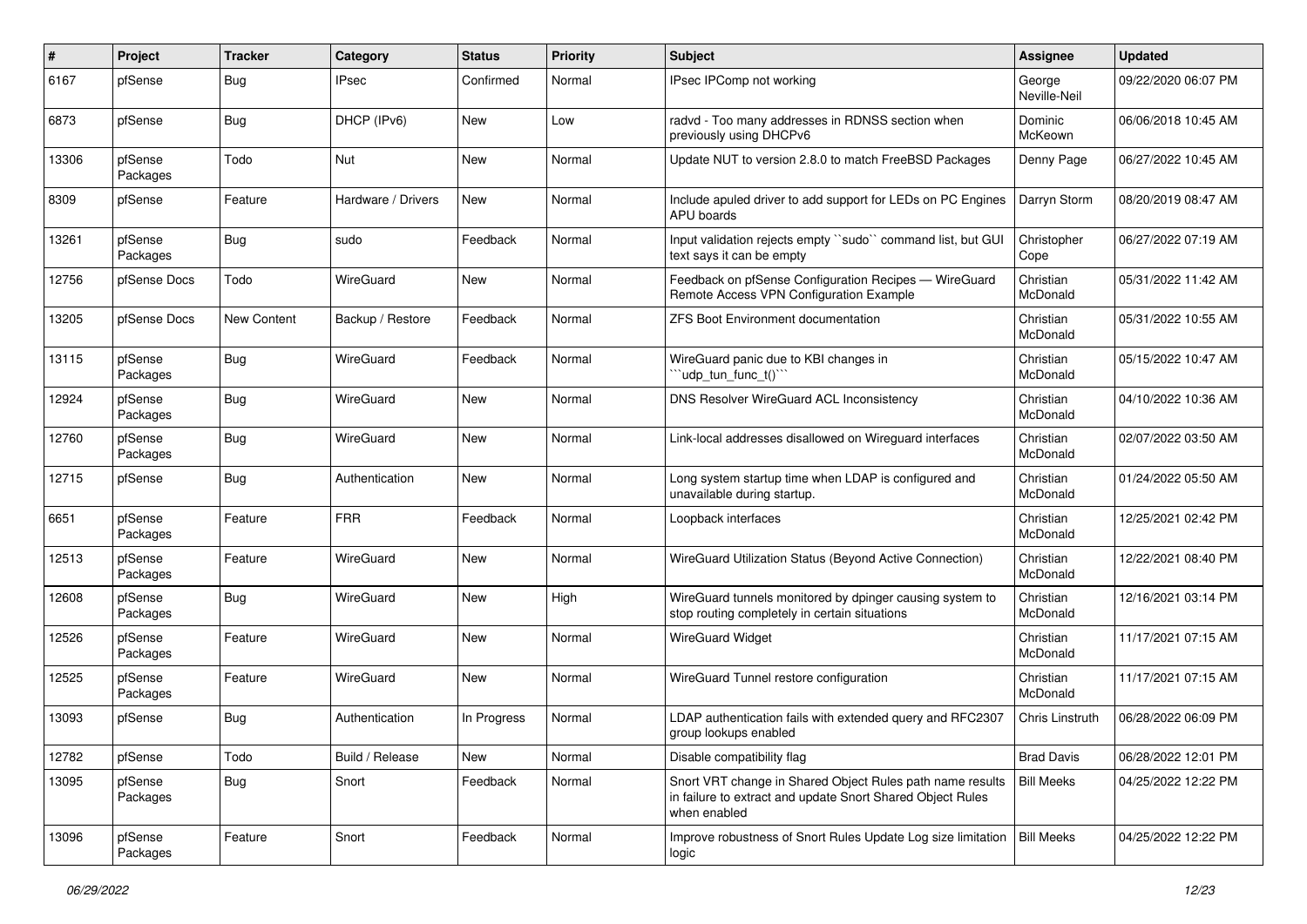| $\sharp$ | Project             | <b>Tracker</b> | Category           | <b>Status</b> | <b>Priority</b> | <b>Subject</b>                                                                                                                          | <b>Assignee</b>        | <b>Updated</b>      |
|----------|---------------------|----------------|--------------------|---------------|-----------------|-----------------------------------------------------------------------------------------------------------------------------------------|------------------------|---------------------|
| 6167     | pfSense             | Bug            | <b>IPsec</b>       | Confirmed     | Normal          | IPsec IPComp not working                                                                                                                | George<br>Neville-Neil | 09/22/2020 06:07 PM |
| 6873     | pfSense             | <b>Bug</b>     | DHCP (IPv6)        | New           | Low             | radvd - Too many addresses in RDNSS section when<br>previously using DHCPv6                                                             | Dominic<br>McKeown     | 06/06/2018 10:45 AM |
| 13306    | pfSense<br>Packages | Todo           | <b>Nut</b>         | New           | Normal          | Update NUT to version 2.8.0 to match FreeBSD Packages                                                                                   | Denny Page             | 06/27/2022 10:45 AM |
| 8309     | pfSense             | Feature        | Hardware / Drivers | <b>New</b>    | Normal          | Include apuled driver to add support for LEDs on PC Engines<br>APU boards                                                               | Darryn Storm           | 08/20/2019 08:47 AM |
| 13261    | pfSense<br>Packages | <b>Bug</b>     | sudo               | Feedback      | Normal          | Input validation rejects empty "sudo" command list, but GUI<br>text says it can be empty                                                | Christopher<br>Cope    | 06/27/2022 07:19 AM |
| 12756    | pfSense Docs        | Todo           | WireGuard          | New           | Normal          | Feedback on pfSense Configuration Recipes - WireGuard<br>Remote Access VPN Configuration Example                                        | Christian<br>McDonald  | 05/31/2022 11:42 AM |
| 13205    | pfSense Docs        | New Content    | Backup / Restore   | Feedback      | Normal          | <b>ZFS Boot Environment documentation</b>                                                                                               | Christian<br>McDonald  | 05/31/2022 10:55 AM |
| 13115    | pfSense<br>Packages | Bug            | WireGuard          | Feedback      | Normal          | WireGuard panic due to KBI changes in<br>'udp_tun_func_t()'"                                                                            | Christian<br>McDonald  | 05/15/2022 10:47 AM |
| 12924    | pfSense<br>Packages | <b>Bug</b>     | WireGuard          | New           | Normal          | DNS Resolver WireGuard ACL Inconsistency                                                                                                | Christian<br>McDonald  | 04/10/2022 10:36 AM |
| 12760    | pfSense<br>Packages | Bug            | WireGuard          | New           | Normal          | Link-local addresses disallowed on Wireguard interfaces                                                                                 | Christian<br>McDonald  | 02/07/2022 03:50 AM |
| 12715    | pfSense             | <b>Bug</b>     | Authentication     | New           | Normal          | Long system startup time when LDAP is configured and<br>unavailable during startup.                                                     | Christian<br>McDonald  | 01/24/2022 05:50 AM |
| 6651     | pfSense<br>Packages | Feature        | <b>FRR</b>         | Feedback      | Normal          | Loopback interfaces                                                                                                                     | Christian<br>McDonald  | 12/25/2021 02:42 PM |
| 12513    | pfSense<br>Packages | Feature        | WireGuard          | New           | Normal          | WireGuard Utilization Status (Beyond Active Connection)                                                                                 | Christian<br>McDonald  | 12/22/2021 08:40 PM |
| 12608    | pfSense<br>Packages | <b>Bug</b>     | WireGuard          | New           | High            | WireGuard tunnels monitored by dpinger causing system to<br>stop routing completely in certain situations                               | Christian<br>McDonald  | 12/16/2021 03:14 PM |
| 12526    | pfSense<br>Packages | Feature        | WireGuard          | New           | Normal          | <b>WireGuard Widget</b>                                                                                                                 | Christian<br>McDonald  | 11/17/2021 07:15 AM |
| 12525    | pfSense<br>Packages | Feature        | WireGuard          | New           | Normal          | WireGuard Tunnel restore configuration                                                                                                  | Christian<br>McDonald  | 11/17/2021 07:15 AM |
| 13093    | pfSense             | <b>Bug</b>     | Authentication     | In Progress   | Normal          | LDAP authentication fails with extended query and RFC2307<br>group lookups enabled                                                      | Chris Linstruth        | 06/28/2022 06:09 PM |
| 12782    | pfSense             | Todo           | Build / Release    | New           | Normal          | Disable compatibility flag                                                                                                              | <b>Brad Davis</b>      | 06/28/2022 12:01 PM |
| 13095    | pfSense<br>Packages | Bug            | Snort              | Feedback      | Normal          | Snort VRT change in Shared Object Rules path name results<br>in failure to extract and update Snort Shared Object Rules<br>when enabled | <b>Bill Meeks</b>      | 04/25/2022 12:22 PM |
| 13096    | pfSense<br>Packages | Feature        | Snort              | Feedback      | Normal          | Improve robustness of Snort Rules Update Log size limitation<br>logic                                                                   | <b>Bill Meeks</b>      | 04/25/2022 12:22 PM |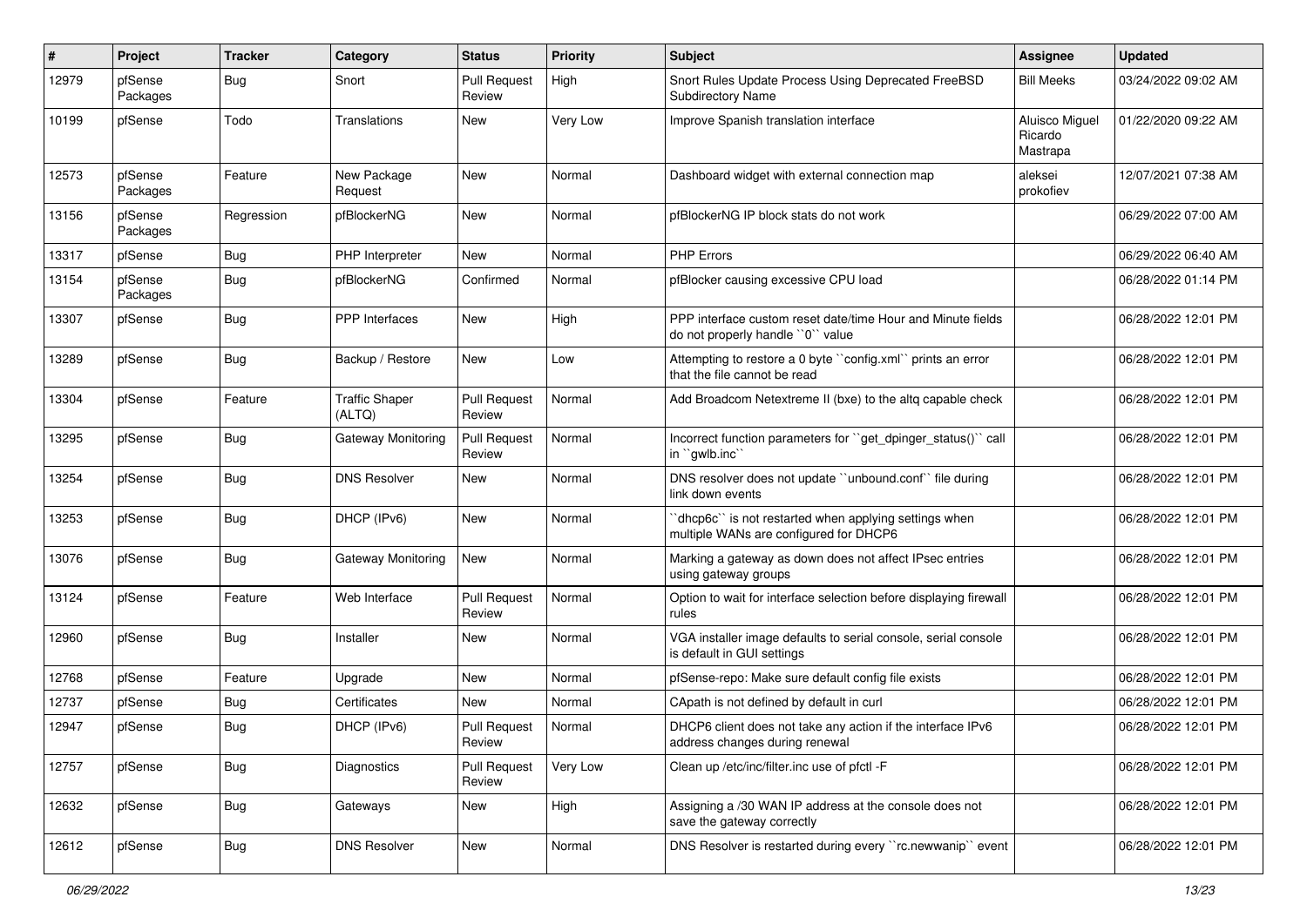| #     | Project             | <b>Tracker</b> | Category                        | <b>Status</b>                 | <b>Priority</b> | <b>Subject</b>                                                                                   | <b>Assignee</b>                       | <b>Updated</b>      |
|-------|---------------------|----------------|---------------------------------|-------------------------------|-----------------|--------------------------------------------------------------------------------------------------|---------------------------------------|---------------------|
| 12979 | pfSense<br>Packages | Bug            | Snort                           | <b>Pull Request</b><br>Review | High            | Snort Rules Update Process Using Deprecated FreeBSD<br><b>Subdirectory Name</b>                  | <b>Bill Meeks</b>                     | 03/24/2022 09:02 AM |
| 10199 | pfSense             | Todo           | Translations                    | New                           | Very Low        | Improve Spanish translation interface                                                            | Aluisco Miguel<br>Ricardo<br>Mastrapa | 01/22/2020 09:22 AM |
| 12573 | pfSense<br>Packages | Feature        | New Package<br>Request          | New                           | Normal          | Dashboard widget with external connection map                                                    | aleksei<br>prokofiev                  | 12/07/2021 07:38 AM |
| 13156 | pfSense<br>Packages | Regression     | pfBlockerNG                     | <b>New</b>                    | Normal          | pfBlockerNG IP block stats do not work                                                           |                                       | 06/29/2022 07:00 AM |
| 13317 | pfSense             | Bug            | PHP Interpreter                 | New                           | Normal          | <b>PHP Errors</b>                                                                                |                                       | 06/29/2022 06:40 AM |
| 13154 | pfSense<br>Packages | Bug            | pfBlockerNG                     | Confirmed                     | Normal          | pfBlocker causing excessive CPU load                                                             |                                       | 06/28/2022 01:14 PM |
| 13307 | pfSense             | Bug            | <b>PPP</b> Interfaces           | New                           | High            | PPP interface custom reset date/time Hour and Minute fields<br>do not properly handle "0" value  |                                       | 06/28/2022 12:01 PM |
| 13289 | pfSense             | Bug            | Backup / Restore                | New                           | Low             | Attempting to restore a 0 byte "config.xml" prints an error<br>that the file cannot be read      |                                       | 06/28/2022 12:01 PM |
| 13304 | pfSense             | Feature        | <b>Traffic Shaper</b><br>(ALTQ) | <b>Pull Request</b><br>Review | Normal          | Add Broadcom Netextreme II (bxe) to the altq capable check                                       |                                       | 06/28/2022 12:01 PM |
| 13295 | pfSense             | Bug            | Gateway Monitoring              | <b>Pull Request</b><br>Review | Normal          | Incorrect function parameters for "get_dpinger_status()" call<br>in "gwlb.inc"                   |                                       | 06/28/2022 12:01 PM |
| 13254 | pfSense             | Bug            | <b>DNS Resolver</b>             | New                           | Normal          | DNS resolver does not update "unbound.conf" file during<br>link down events                      |                                       | 06/28/2022 12:01 PM |
| 13253 | pfSense             | Bug            | DHCP (IPv6)                     | <b>New</b>                    | Normal          | 'dhcp6c'' is not restarted when applying settings when<br>multiple WANs are configured for DHCP6 |                                       | 06/28/2022 12:01 PM |
| 13076 | pfSense             | Bug            | Gateway Monitoring              | <b>New</b>                    | Normal          | Marking a gateway as down does not affect IPsec entries<br>using gateway groups                  |                                       | 06/28/2022 12:01 PM |
| 13124 | pfSense             | Feature        | Web Interface                   | <b>Pull Request</b><br>Review | Normal          | Option to wait for interface selection before displaying firewall<br>rules                       |                                       | 06/28/2022 12:01 PM |
| 12960 | pfSense             | Bug            | Installer                       | New                           | Normal          | VGA installer image defaults to serial console, serial console<br>is default in GUI settings     |                                       | 06/28/2022 12:01 PM |
| 12768 | pfSense             | Feature        | Upgrade                         | New                           | Normal          | pfSense-repo: Make sure default config file exists                                               |                                       | 06/28/2022 12:01 PM |
| 12737 | pfSense             | <b>Bug</b>     | Certificates                    | New                           | Normal          | CApath is not defined by default in curl                                                         |                                       | 06/28/2022 12:01 PM |
| 12947 | pfSense             | Bug            | DHCP (IPv6)                     | <b>Pull Request</b><br>Review | Normal          | DHCP6 client does not take any action if the interface IPv6<br>address changes during renewal    |                                       | 06/28/2022 12:01 PM |
| 12757 | pfSense             | Bug            | Diagnostics                     | <b>Pull Request</b><br>Review | Very Low        | Clean up /etc/inc/filter.inc use of pfctl -F                                                     |                                       | 06/28/2022 12:01 PM |
| 12632 | pfSense             | Bug            | Gateways                        | New                           | High            | Assigning a /30 WAN IP address at the console does not<br>save the gateway correctly             |                                       | 06/28/2022 12:01 PM |
| 12612 | pfSense             | Bug            | <b>DNS Resolver</b>             | New                           | Normal          | DNS Resolver is restarted during every "rc.newwanip" event                                       |                                       | 06/28/2022 12:01 PM |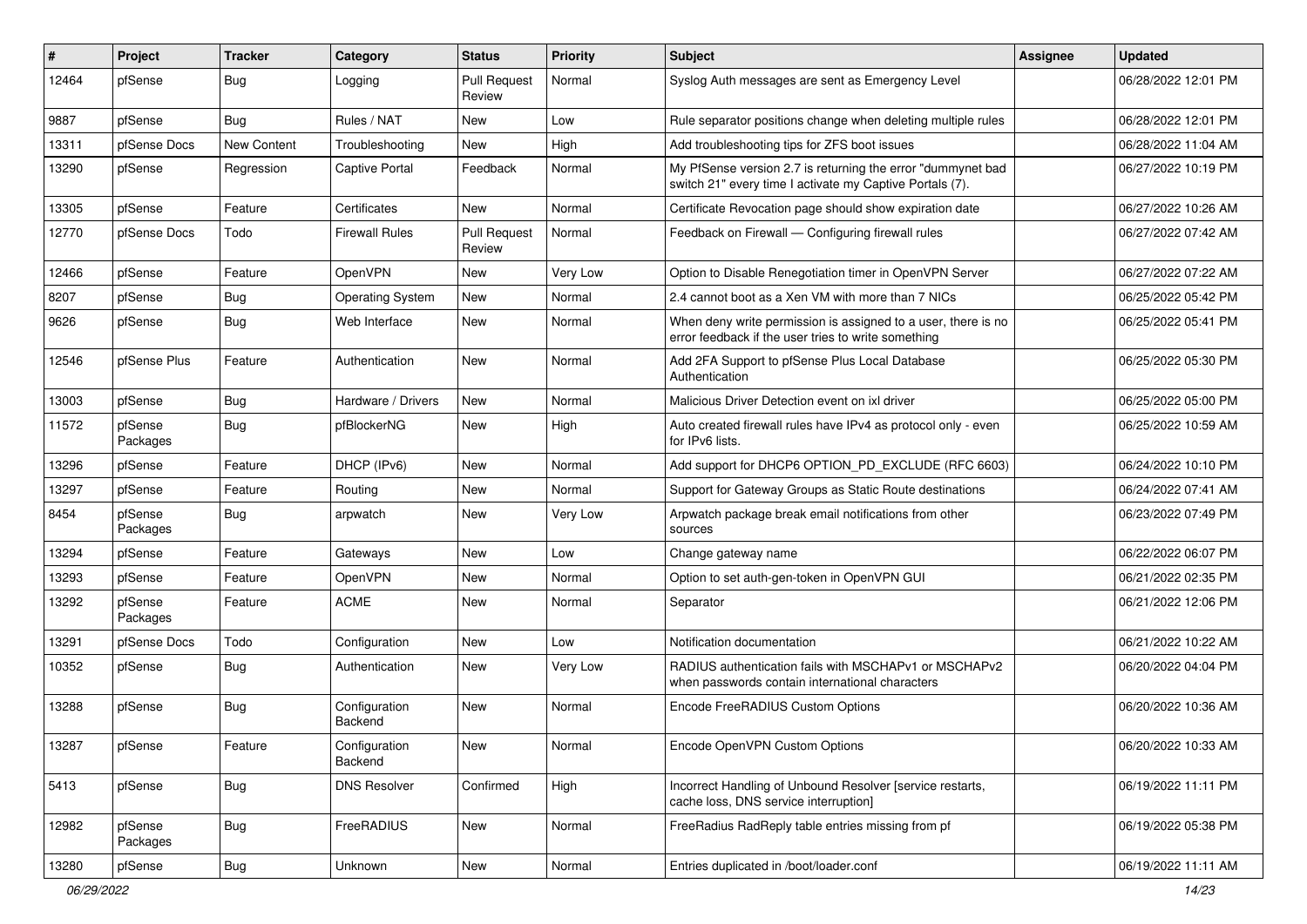| #     | Project             | <b>Tracker</b> | Category                        | <b>Status</b>                 | <b>Priority</b> | <b>Subject</b>                                                                                                          | <b>Assignee</b> | <b>Updated</b>      |
|-------|---------------------|----------------|---------------------------------|-------------------------------|-----------------|-------------------------------------------------------------------------------------------------------------------------|-----------------|---------------------|
| 12464 | pfSense             | Bug            | Logging                         | <b>Pull Request</b><br>Review | Normal          | Syslog Auth messages are sent as Emergency Level                                                                        |                 | 06/28/2022 12:01 PM |
| 9887  | pfSense             | Bug            | Rules / NAT                     | New                           | Low             | Rule separator positions change when deleting multiple rules                                                            |                 | 06/28/2022 12:01 PM |
| 13311 | pfSense Docs        | New Content    | Troubleshooting                 | New                           | High            | Add troubleshooting tips for ZFS boot issues                                                                            |                 | 06/28/2022 11:04 AM |
| 13290 | pfSense             | Regression     | <b>Captive Portal</b>           | Feedback                      | Normal          | My PfSense version 2.7 is returning the error "dummynet bad<br>switch 21" every time I activate my Captive Portals (7). |                 | 06/27/2022 10:19 PM |
| 13305 | pfSense             | Feature        | Certificates                    | New                           | Normal          | Certificate Revocation page should show expiration date                                                                 |                 | 06/27/2022 10:26 AM |
| 12770 | pfSense Docs        | Todo           | <b>Firewall Rules</b>           | <b>Pull Request</b><br>Review | Normal          | Feedback on Firewall - Configuring firewall rules                                                                       |                 | 06/27/2022 07:42 AM |
| 12466 | pfSense             | Feature        | OpenVPN                         | <b>New</b>                    | Very Low        | Option to Disable Renegotiation timer in OpenVPN Server                                                                 |                 | 06/27/2022 07:22 AM |
| 8207  | pfSense             | <b>Bug</b>     | <b>Operating System</b>         | New                           | Normal          | 2.4 cannot boot as a Xen VM with more than 7 NICs                                                                       |                 | 06/25/2022 05:42 PM |
| 9626  | pfSense             | <b>Bug</b>     | Web Interface                   | New                           | Normal          | When deny write permission is assigned to a user, there is no<br>error feedback if the user tries to write something    |                 | 06/25/2022 05:41 PM |
| 12546 | pfSense Plus        | Feature        | Authentication                  | <b>New</b>                    | Normal          | Add 2FA Support to pfSense Plus Local Database<br>Authentication                                                        |                 | 06/25/2022 05:30 PM |
| 13003 | pfSense             | Bug            | Hardware / Drivers              | <b>New</b>                    | Normal          | Malicious Driver Detection event on ixl driver                                                                          |                 | 06/25/2022 05:00 PM |
| 11572 | pfSense<br>Packages | Bug            | pfBlockerNG                     | New                           | High            | Auto created firewall rules have IPv4 as protocol only - even<br>for IPv6 lists.                                        |                 | 06/25/2022 10:59 AM |
| 13296 | pfSense             | Feature        | DHCP (IPv6)                     | New                           | Normal          | Add support for DHCP6 OPTION_PD_EXCLUDE (RFC 6603)                                                                      |                 | 06/24/2022 10:10 PM |
| 13297 | pfSense             | Feature        | Routing                         | New                           | Normal          | Support for Gateway Groups as Static Route destinations                                                                 |                 | 06/24/2022 07:41 AM |
| 8454  | pfSense<br>Packages | Bug            | arpwatch                        | New                           | Very Low        | Arpwatch package break email notifications from other<br>sources                                                        |                 | 06/23/2022 07:49 PM |
| 13294 | pfSense             | Feature        | Gateways                        | New                           | Low             | Change gateway name                                                                                                     |                 | 06/22/2022 06:07 PM |
| 13293 | pfSense             | Feature        | OpenVPN                         | New                           | Normal          | Option to set auth-gen-token in OpenVPN GUI                                                                             |                 | 06/21/2022 02:35 PM |
| 13292 | pfSense<br>Packages | Feature        | <b>ACME</b>                     | New                           | Normal          | Separator                                                                                                               |                 | 06/21/2022 12:06 PM |
| 13291 | pfSense Docs        | Todo           | Configuration                   | New                           | Low             | Notification documentation                                                                                              |                 | 06/21/2022 10:22 AM |
| 10352 | pfSense             | <b>Bug</b>     | Authentication                  | New                           | Very Low        | RADIUS authentication fails with MSCHAPv1 or MSCHAPv2<br>when passwords contain international characters                |                 | 06/20/2022 04:04 PM |
| 13288 | pfSense             | Bug            | Configuration<br><b>Backend</b> | New                           | Normal          | Encode FreeRADIUS Custom Options                                                                                        |                 | 06/20/2022 10:36 AM |
| 13287 | pfSense             | Feature        | Configuration<br>Backend        | New                           | Normal          | Encode OpenVPN Custom Options                                                                                           |                 | 06/20/2022 10:33 AM |
| 5413  | pfSense             | <b>Bug</b>     | <b>DNS Resolver</b>             | Confirmed                     | High            | Incorrect Handling of Unbound Resolver [service restarts,<br>cache loss, DNS service interruption]                      |                 | 06/19/2022 11:11 PM |
| 12982 | pfSense<br>Packages | <b>Bug</b>     | FreeRADIUS                      | New                           | Normal          | FreeRadius RadReply table entries missing from pf                                                                       |                 | 06/19/2022 05:38 PM |
| 13280 | pfSense             | Bug            | Unknown                         | New                           | Normal          | Entries duplicated in /boot/loader.conf                                                                                 |                 | 06/19/2022 11:11 AM |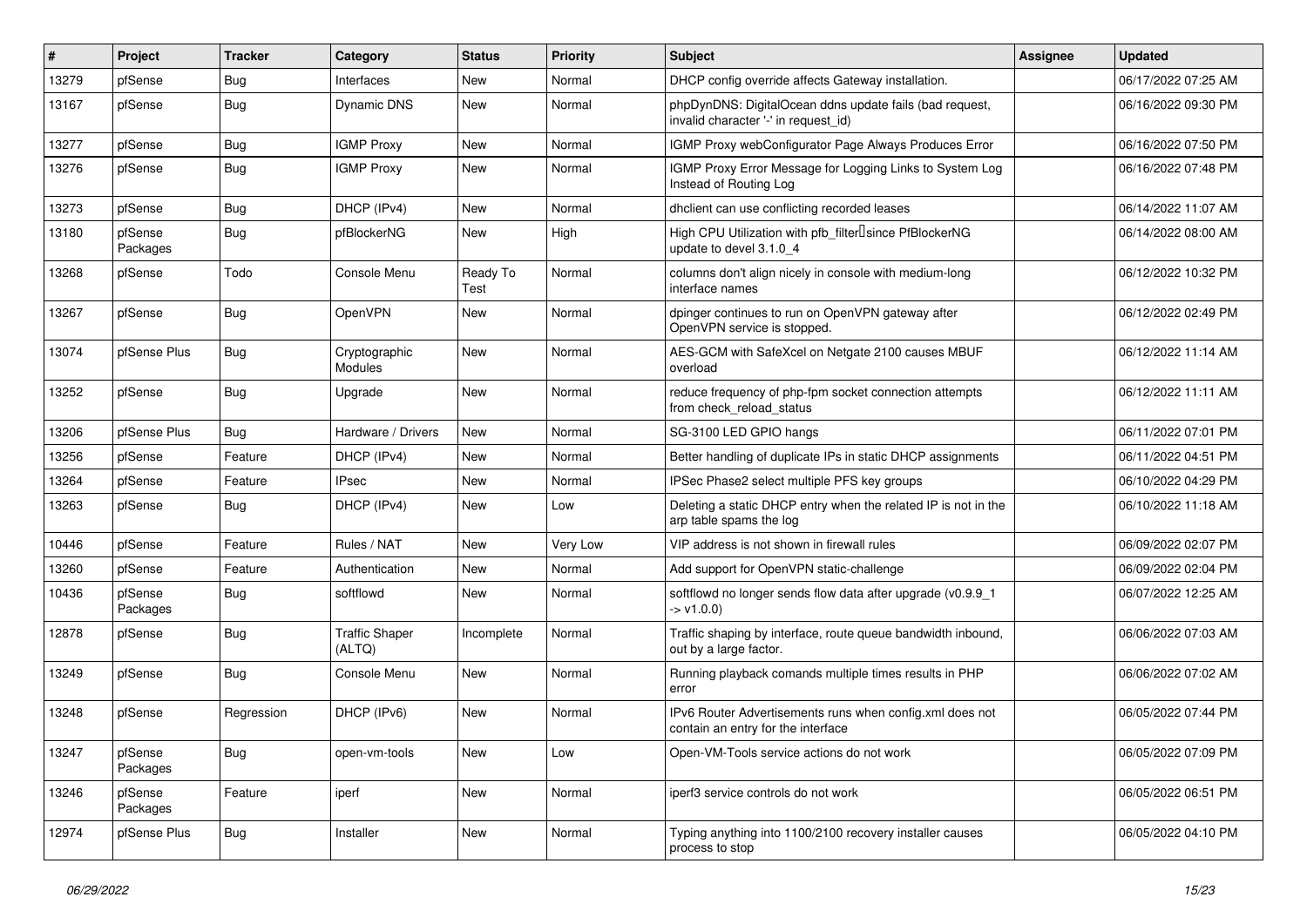| $\vert$ # | Project             | <b>Tracker</b> | Category                        | <b>Status</b>    | <b>Priority</b> | <b>Subject</b>                                                                                  | Assignee | <b>Updated</b>      |
|-----------|---------------------|----------------|---------------------------------|------------------|-----------------|-------------------------------------------------------------------------------------------------|----------|---------------------|
| 13279     | pfSense             | <b>Bug</b>     | Interfaces                      | New              | Normal          | DHCP config override affects Gateway installation.                                              |          | 06/17/2022 07:25 AM |
| 13167     | pfSense             | Bug            | Dynamic DNS                     | New              | Normal          | phpDynDNS: DigitalOcean ddns update fails (bad request,<br>invalid character '-' in request id) |          | 06/16/2022 09:30 PM |
| 13277     | pfSense             | Bug            | <b>IGMP Proxy</b>               | New              | Normal          | IGMP Proxy webConfigurator Page Always Produces Error                                           |          | 06/16/2022 07:50 PM |
| 13276     | pfSense             | Bug            | <b>IGMP Proxy</b>               | New              | Normal          | IGMP Proxy Error Message for Logging Links to System Log<br>Instead of Routing Log              |          | 06/16/2022 07:48 PM |
| 13273     | pfSense             | Bug            | DHCP (IPv4)                     | New              | Normal          | dhclient can use conflicting recorded leases                                                    |          | 06/14/2022 11:07 AM |
| 13180     | pfSense<br>Packages | Bug            | pfBlockerNG                     | New              | High            | High CPU Utilization with pfb_filter <sup>[]</sup> since PfBlockerNG<br>update to devel 3.1.0 4 |          | 06/14/2022 08:00 AM |
| 13268     | pfSense             | Todo           | Console Menu                    | Ready To<br>Test | Normal          | columns don't align nicely in console with medium-long<br>interface names                       |          | 06/12/2022 10:32 PM |
| 13267     | pfSense             | Bug            | OpenVPN                         | New              | Normal          | dpinger continues to run on OpenVPN gateway after<br>OpenVPN service is stopped.                |          | 06/12/2022 02:49 PM |
| 13074     | pfSense Plus        | Bug            | Cryptographic<br>Modules        | New              | Normal          | AES-GCM with SafeXcel on Netgate 2100 causes MBUF<br>overload                                   |          | 06/12/2022 11:14 AM |
| 13252     | pfSense             | Bug            | Upgrade                         | New              | Normal          | reduce frequency of php-fpm socket connection attempts<br>from check reload status              |          | 06/12/2022 11:11 AM |
| 13206     | pfSense Plus        | Bug            | Hardware / Drivers              | New              | Normal          | SG-3100 LED GPIO hangs                                                                          |          | 06/11/2022 07:01 PM |
| 13256     | pfSense             | Feature        | DHCP (IPv4)                     | New              | Normal          | Better handling of duplicate IPs in static DHCP assignments                                     |          | 06/11/2022 04:51 PM |
| 13264     | pfSense             | Feature        | IPsec                           | New              | Normal          | IPSec Phase2 select multiple PFS key groups                                                     |          | 06/10/2022 04:29 PM |
| 13263     | pfSense             | Bug            | DHCP (IPv4)                     | New              | Low             | Deleting a static DHCP entry when the related IP is not in the<br>arp table spams the log       |          | 06/10/2022 11:18 AM |
| 10446     | pfSense             | Feature        | Rules / NAT                     | New              | Very Low        | VIP address is not shown in firewall rules                                                      |          | 06/09/2022 02:07 PM |
| 13260     | pfSense             | Feature        | Authentication                  | New              | Normal          | Add support for OpenVPN static-challenge                                                        |          | 06/09/2022 02:04 PM |
| 10436     | pfSense<br>Packages | Bug            | softflowd                       | New              | Normal          | softflowd no longer sends flow data after upgrade (v0.9.9_1<br>$-> v1.0.0$                      |          | 06/07/2022 12:25 AM |
| 12878     | pfSense             | Bug            | <b>Traffic Shaper</b><br>(ALTQ) | Incomplete       | Normal          | Traffic shaping by interface, route queue bandwidth inbound,<br>out by a large factor.          |          | 06/06/2022 07:03 AM |
| 13249     | pfSense             | Bug            | Console Menu                    | New              | Normal          | Running playback comands multiple times results in PHP<br>error                                 |          | 06/06/2022 07:02 AM |
| 13248     | pfSense             | Regression     | DHCP (IPv6)                     | New              | Normal          | IPv6 Router Advertisements runs when config.xml does not<br>contain an entry for the interface  |          | 06/05/2022 07:44 PM |
| 13247     | pfSense<br>Packages | Bug            | open-vm-tools                   | New              | Low             | Open-VM-Tools service actions do not work                                                       |          | 06/05/2022 07:09 PM |
| 13246     | pfSense<br>Packages | Feature        | iperf                           | New              | Normal          | iperf3 service controls do not work                                                             |          | 06/05/2022 06:51 PM |
| 12974     | pfSense Plus        | Bug            | Installer                       | New              | Normal          | Typing anything into 1100/2100 recovery installer causes<br>process to stop                     |          | 06/05/2022 04:10 PM |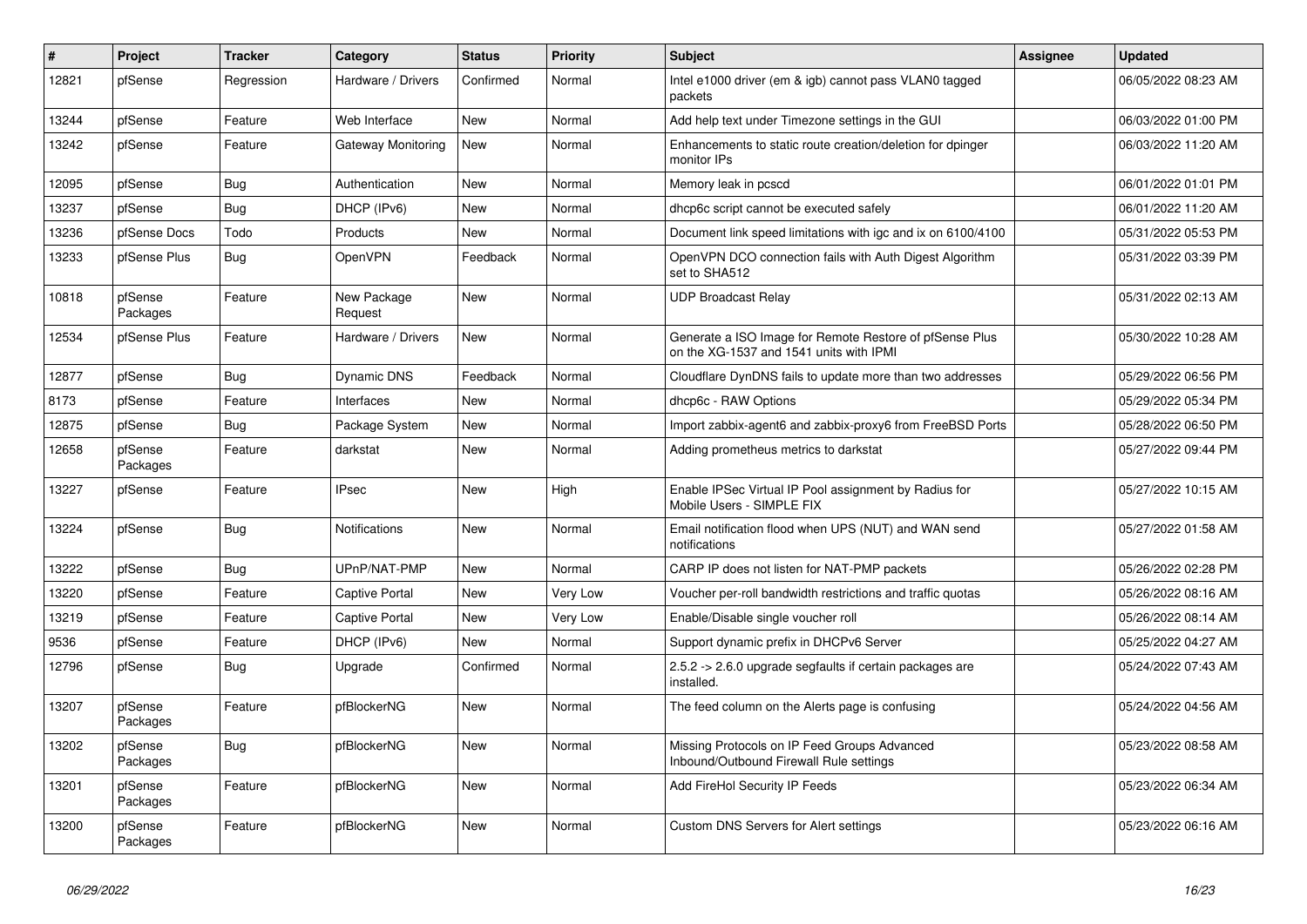| $\vert$ # | Project             | <b>Tracker</b> | Category               | <b>Status</b> | Priority | <b>Subject</b>                                                                                     | <b>Assignee</b> | <b>Updated</b>      |
|-----------|---------------------|----------------|------------------------|---------------|----------|----------------------------------------------------------------------------------------------------|-----------------|---------------------|
| 12821     | pfSense             | Regression     | Hardware / Drivers     | Confirmed     | Normal   | Intel e1000 driver (em & igb) cannot pass VLAN0 tagged<br>packets                                  |                 | 06/05/2022 08:23 AM |
| 13244     | pfSense             | Feature        | Web Interface          | <b>New</b>    | Normal   | Add help text under Timezone settings in the GUI                                                   |                 | 06/03/2022 01:00 PM |
| 13242     | pfSense             | Feature        | Gateway Monitoring     | New           | Normal   | Enhancements to static route creation/deletion for dpinger<br>monitor IPs                          |                 | 06/03/2022 11:20 AM |
| 12095     | pfSense             | <b>Bug</b>     | Authentication         | <b>New</b>    | Normal   | Memory leak in pcscd                                                                               |                 | 06/01/2022 01:01 PM |
| 13237     | pfSense             | Bug            | DHCP (IPv6)            | <b>New</b>    | Normal   | dhcp6c script cannot be executed safely                                                            |                 | 06/01/2022 11:20 AM |
| 13236     | pfSense Docs        | Todo           | Products               | <b>New</b>    | Normal   | Document link speed limitations with igc and ix on 6100/4100                                       |                 | 05/31/2022 05:53 PM |
| 13233     | pfSense Plus        | <b>Bug</b>     | OpenVPN                | Feedback      | Normal   | OpenVPN DCO connection fails with Auth Digest Algorithm<br>set to SHA512                           |                 | 05/31/2022 03:39 PM |
| 10818     | pfSense<br>Packages | Feature        | New Package<br>Request | <b>New</b>    | Normal   | <b>UDP Broadcast Relay</b>                                                                         |                 | 05/31/2022 02:13 AM |
| 12534     | pfSense Plus        | Feature        | Hardware / Drivers     | <b>New</b>    | Normal   | Generate a ISO Image for Remote Restore of pfSense Plus<br>on the XG-1537 and 1541 units with IPMI |                 | 05/30/2022 10:28 AM |
| 12877     | pfSense             | Bug            | Dynamic DNS            | Feedback      | Normal   | Cloudflare DynDNS fails to update more than two addresses                                          |                 | 05/29/2022 06:56 PM |
| 8173      | pfSense             | Feature        | Interfaces             | <b>New</b>    | Normal   | dhcp6c - RAW Options                                                                               |                 | 05/29/2022 05:34 PM |
| 12875     | pfSense             | Bug            | Package System         | <b>New</b>    | Normal   | Import zabbix-agent6 and zabbix-proxy6 from FreeBSD Ports                                          |                 | 05/28/2022 06:50 PM |
| 12658     | pfSense<br>Packages | Feature        | darkstat               | New           | Normal   | Adding prometheus metrics to darkstat                                                              |                 | 05/27/2022 09:44 PM |
| 13227     | pfSense             | Feature        | <b>IPsec</b>           | New           | High     | Enable IPSec Virtual IP Pool assignment by Radius for<br>Mobile Users - SIMPLE FIX                 |                 | 05/27/2022 10:15 AM |
| 13224     | pfSense             | Bug            | <b>Notifications</b>   | <b>New</b>    | Normal   | Email notification flood when UPS (NUT) and WAN send<br>notifications                              |                 | 05/27/2022 01:58 AM |
| 13222     | pfSense             | <b>Bug</b>     | UPnP/NAT-PMP           | <b>New</b>    | Normal   | CARP IP does not listen for NAT-PMP packets                                                        |                 | 05/26/2022 02:28 PM |
| 13220     | pfSense             | Feature        | <b>Captive Portal</b>  | <b>New</b>    | Very Low | Voucher per-roll bandwidth restrictions and traffic quotas                                         |                 | 05/26/2022 08:16 AM |
| 13219     | pfSense             | Feature        | <b>Captive Portal</b>  | New           | Very Low | Enable/Disable single voucher roll                                                                 |                 | 05/26/2022 08:14 AM |
| 9536      | pfSense             | Feature        | DHCP (IPv6)            | <b>New</b>    | Normal   | Support dynamic prefix in DHCPv6 Server                                                            |                 | 05/25/2022 04:27 AM |
| 12796     | pfSense             | Bug            | Upgrade                | Confirmed     | Normal   | 2.5.2 -> 2.6.0 upgrade segfaults if certain packages are<br>installed.                             |                 | 05/24/2022 07:43 AM |
| 13207     | pfSense<br>Packages | Feature        | pfBlockerNG            | <b>New</b>    | Normal   | The feed column on the Alerts page is confusing                                                    |                 | 05/24/2022 04:56 AM |
| 13202     | pfSense<br>Packages | Bug            | pfBlockerNG            | New           | Normal   | Missing Protocols on IP Feed Groups Advanced<br>Inbound/Outbound Firewall Rule settings            |                 | 05/23/2022 08:58 AM |
| 13201     | pfSense<br>Packages | Feature        | pfBlockerNG            | New           | Normal   | Add FireHol Security IP Feeds                                                                      |                 | 05/23/2022 06:34 AM |
| 13200     | pfSense<br>Packages | Feature        | pfBlockerNG            | <b>New</b>    | Normal   | <b>Custom DNS Servers for Alert settings</b>                                                       |                 | 05/23/2022 06:16 AM |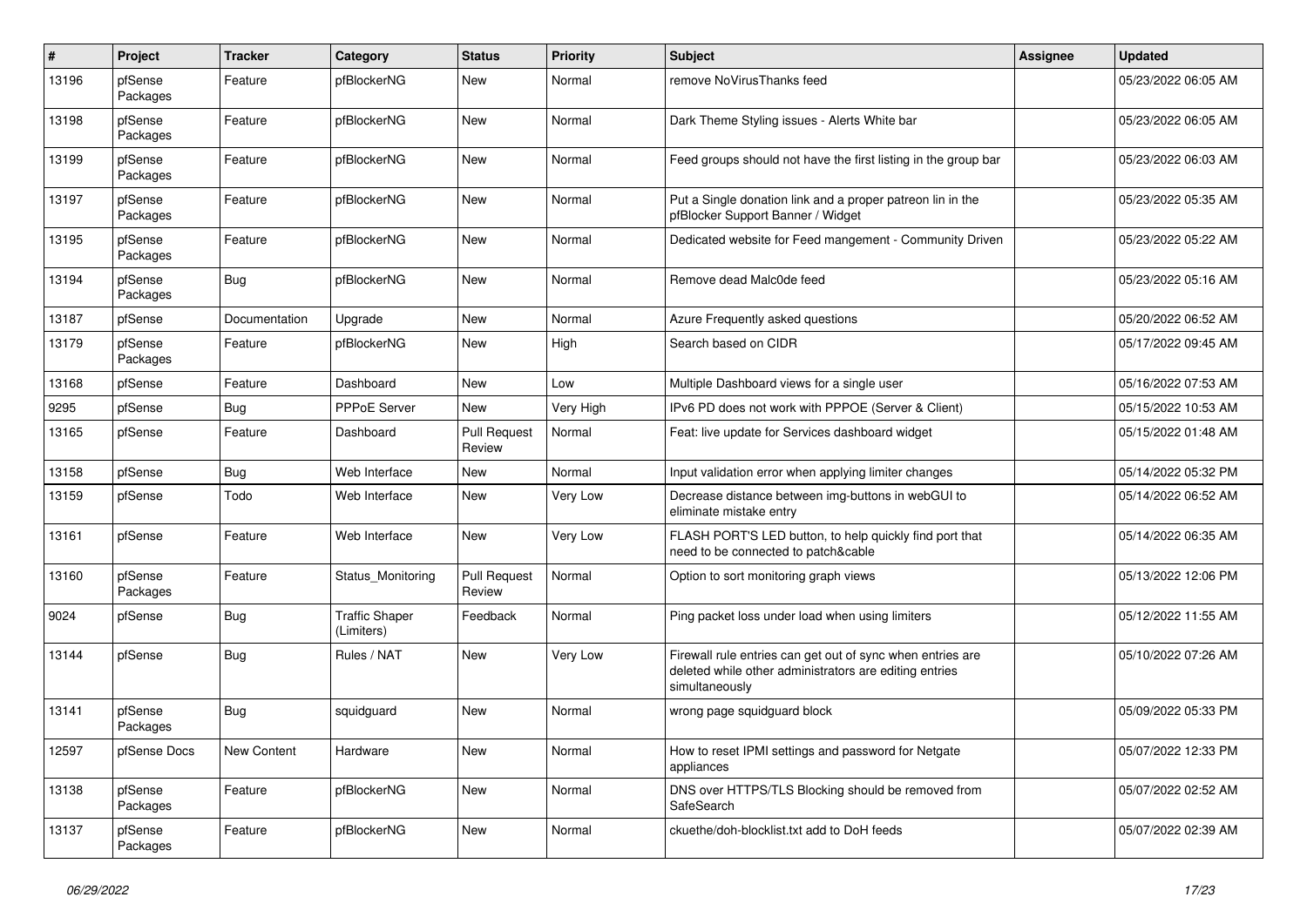| $\vert$ # | Project             | <b>Tracker</b> | Category                            | <b>Status</b>                 | <b>Priority</b> | <b>Subject</b>                                                                                                                         | Assignee | <b>Updated</b>      |
|-----------|---------------------|----------------|-------------------------------------|-------------------------------|-----------------|----------------------------------------------------------------------------------------------------------------------------------------|----------|---------------------|
| 13196     | pfSense<br>Packages | Feature        | pfBlockerNG                         | New                           | Normal          | remove NoVirusThanks feed                                                                                                              |          | 05/23/2022 06:05 AM |
| 13198     | pfSense<br>Packages | Feature        | pfBlockerNG                         | <b>New</b>                    | Normal          | Dark Theme Styling issues - Alerts White bar                                                                                           |          | 05/23/2022 06:05 AM |
| 13199     | pfSense<br>Packages | Feature        | pfBlockerNG                         | New                           | Normal          | Feed groups should not have the first listing in the group bar                                                                         |          | 05/23/2022 06:03 AM |
| 13197     | pfSense<br>Packages | Feature        | pfBlockerNG                         | <b>New</b>                    | Normal          | Put a Single donation link and a proper patreon lin in the<br>pfBlocker Support Banner / Widget                                        |          | 05/23/2022 05:35 AM |
| 13195     | pfSense<br>Packages | Feature        | pfBlockerNG                         | <b>New</b>                    | Normal          | Dedicated website for Feed mangement - Community Driven                                                                                |          | 05/23/2022 05:22 AM |
| 13194     | pfSense<br>Packages | <b>Bug</b>     | pfBlockerNG                         | New                           | Normal          | Remove dead Malc0de feed                                                                                                               |          | 05/23/2022 05:16 AM |
| 13187     | pfSense             | Documentation  | Upgrade                             | <b>New</b>                    | Normal          | Azure Frequently asked questions                                                                                                       |          | 05/20/2022 06:52 AM |
| 13179     | pfSense<br>Packages | Feature        | pfBlockerNG                         | New                           | High            | Search based on CIDR                                                                                                                   |          | 05/17/2022 09:45 AM |
| 13168     | pfSense             | Feature        | Dashboard                           | <b>New</b>                    | Low             | Multiple Dashboard views for a single user                                                                                             |          | 05/16/2022 07:53 AM |
| 9295      | pfSense             | Bug            | <b>PPPoE Server</b>                 | <b>New</b>                    | Very High       | IPv6 PD does not work with PPPOE (Server & Client)                                                                                     |          | 05/15/2022 10:53 AM |
| 13165     | pfSense             | Feature        | Dashboard                           | <b>Pull Request</b><br>Review | Normal          | Feat: live update for Services dashboard widget                                                                                        |          | 05/15/2022 01:48 AM |
| 13158     | pfSense             | Bug            | Web Interface                       | <b>New</b>                    | Normal          | Input validation error when applying limiter changes                                                                                   |          | 05/14/2022 05:32 PM |
| 13159     | pfSense             | Todo           | Web Interface                       | <b>New</b>                    | Very Low        | Decrease distance between img-buttons in webGUI to<br>eliminate mistake entry                                                          |          | 05/14/2022 06:52 AM |
| 13161     | pfSense             | Feature        | Web Interface                       | <b>New</b>                    | Very Low        | FLASH PORT'S LED button, to help quickly find port that<br>need to be connected to patch&cable                                         |          | 05/14/2022 06:35 AM |
| 13160     | pfSense<br>Packages | Feature        | Status Monitoring                   | <b>Pull Request</b><br>Review | Normal          | Option to sort monitoring graph views                                                                                                  |          | 05/13/2022 12:06 PM |
| 9024      | pfSense             | <b>Bug</b>     | <b>Traffic Shaper</b><br>(Limiters) | Feedback                      | Normal          | Ping packet loss under load when using limiters                                                                                        |          | 05/12/2022 11:55 AM |
| 13144     | pfSense             | <b>Bug</b>     | Rules / NAT                         | <b>New</b>                    | Very Low        | Firewall rule entries can get out of sync when entries are<br>deleted while other administrators are editing entries<br>simultaneously |          | 05/10/2022 07:26 AM |
| 13141     | pfSense<br>Packages | Bug            | squidguard                          | <b>New</b>                    | Normal          | wrong page squidguard block                                                                                                            |          | 05/09/2022 05:33 PM |
| 12597     | pfSense Docs        | New Content    | Hardware                            | New                           | Normal          | How to reset IPMI settings and password for Netgate<br>appliances                                                                      |          | 05/07/2022 12:33 PM |
| 13138     | pfSense<br>Packages | Feature        | pfBlockerNG                         | New                           | Normal          | DNS over HTTPS/TLS Blocking should be removed from<br>SafeSearch                                                                       |          | 05/07/2022 02:52 AM |
| 13137     | pfSense<br>Packages | Feature        | pfBlockerNG                         | <b>New</b>                    | Normal          | ckuethe/doh-blocklist.txt add to DoH feeds                                                                                             |          | 05/07/2022 02:39 AM |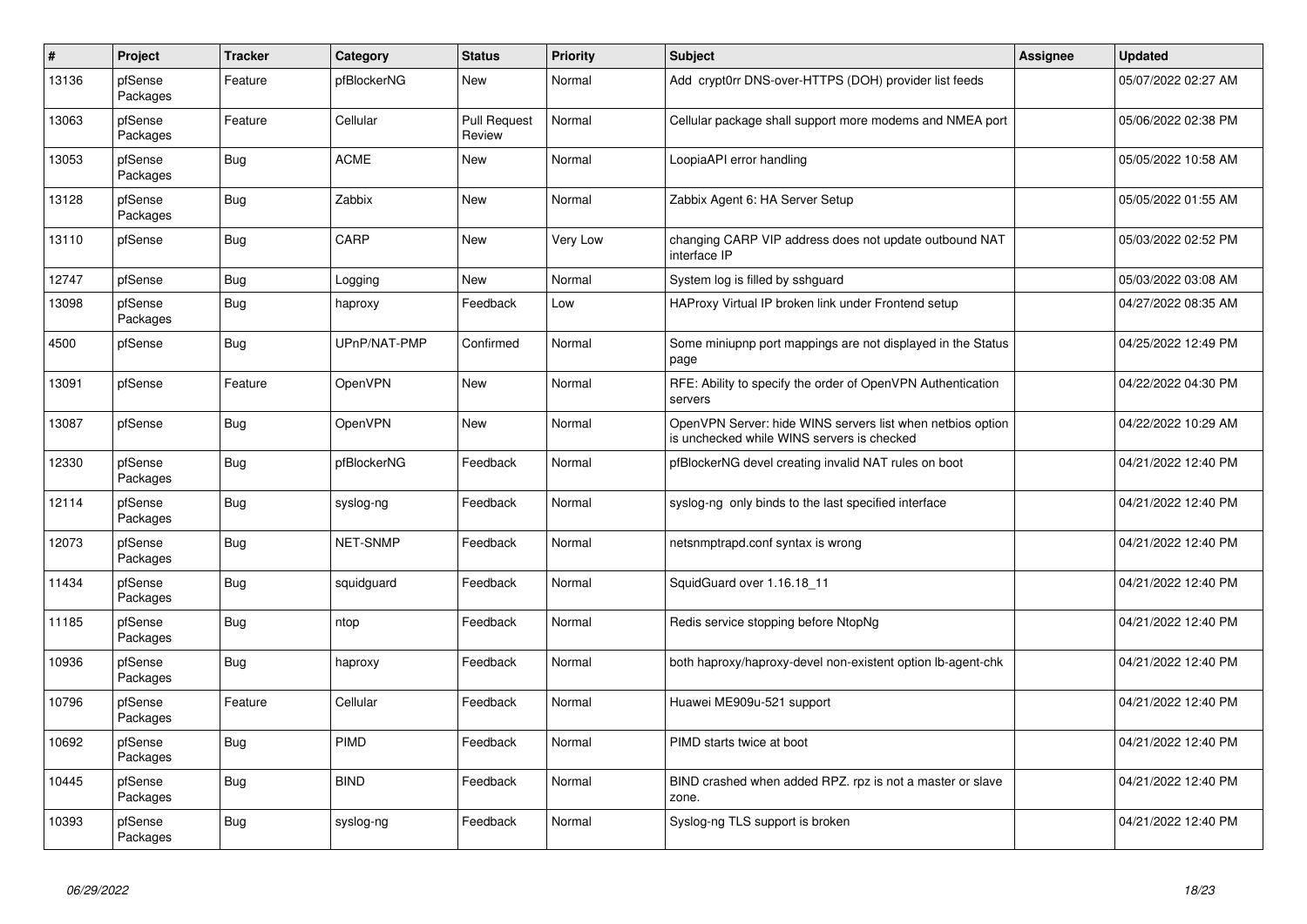| $\pmb{\#}$ | Project             | <b>Tracker</b> | Category     | <b>Status</b>                 | <b>Priority</b> | <b>Subject</b>                                                                                           | Assignee | <b>Updated</b>      |
|------------|---------------------|----------------|--------------|-------------------------------|-----------------|----------------------------------------------------------------------------------------------------------|----------|---------------------|
| 13136      | pfSense<br>Packages | Feature        | pfBlockerNG  | New                           | Normal          | Add crypt0rr DNS-over-HTTPS (DOH) provider list feeds                                                    |          | 05/07/2022 02:27 AM |
| 13063      | pfSense<br>Packages | Feature        | Cellular     | <b>Pull Request</b><br>Review | Normal          | Cellular package shall support more modems and NMEA port                                                 |          | 05/06/2022 02:38 PM |
| 13053      | pfSense<br>Packages | <b>Bug</b>     | <b>ACME</b>  | <b>New</b>                    | Normal          | LoopiaAPI error handling                                                                                 |          | 05/05/2022 10:58 AM |
| 13128      | pfSense<br>Packages | <b>Bug</b>     | Zabbix       | New                           | Normal          | Zabbix Agent 6: HA Server Setup                                                                          |          | 05/05/2022 01:55 AM |
| 13110      | pfSense             | Bug            | CARP         | New                           | Very Low        | changing CARP VIP address does not update outbound NAT<br>interface IP                                   |          | 05/03/2022 02:52 PM |
| 12747      | pfSense             | Bug            | Logging      | <b>New</b>                    | Normal          | System log is filled by sshguard                                                                         |          | 05/03/2022 03:08 AM |
| 13098      | pfSense<br>Packages | <b>Bug</b>     | haproxy      | Feedback                      | Low             | HAProxy Virtual IP broken link under Frontend setup                                                      |          | 04/27/2022 08:35 AM |
| 4500       | pfSense             | <b>Bug</b>     | UPnP/NAT-PMP | Confirmed                     | Normal          | Some miniupnp port mappings are not displayed in the Status<br>page                                      |          | 04/25/2022 12:49 PM |
| 13091      | pfSense             | Feature        | OpenVPN      | <b>New</b>                    | Normal          | RFE: Ability to specify the order of OpenVPN Authentication<br>servers                                   |          | 04/22/2022 04:30 PM |
| 13087      | pfSense             | Bug            | OpenVPN      | <b>New</b>                    | Normal          | OpenVPN Server: hide WINS servers list when netbios option<br>is unchecked while WINS servers is checked |          | 04/22/2022 10:29 AM |
| 12330      | pfSense<br>Packages | <b>Bug</b>     | pfBlockerNG  | Feedback                      | Normal          | pfBlockerNG devel creating invalid NAT rules on boot                                                     |          | 04/21/2022 12:40 PM |
| 12114      | pfSense<br>Packages | <b>Bug</b>     | syslog-ng    | Feedback                      | Normal          | syslog-ng only binds to the last specified interface                                                     |          | 04/21/2022 12:40 PM |
| 12073      | pfSense<br>Packages | <b>Bug</b>     | NET-SNMP     | Feedback                      | Normal          | netsnmptrapd.conf syntax is wrong                                                                        |          | 04/21/2022 12:40 PM |
| 11434      | pfSense<br>Packages | <b>Bug</b>     | squidguard   | Feedback                      | Normal          | SquidGuard over 1.16.18_11                                                                               |          | 04/21/2022 12:40 PM |
| 11185      | pfSense<br>Packages | <b>Bug</b>     | ntop         | Feedback                      | Normal          | Redis service stopping before NtopNg                                                                     |          | 04/21/2022 12:40 PM |
| 10936      | pfSense<br>Packages | <b>Bug</b>     | haproxy      | Feedback                      | Normal          | both haproxy/haproxy-devel non-existent option lb-agent-chk                                              |          | 04/21/2022 12:40 PM |
| 10796      | pfSense<br>Packages | Feature        | Cellular     | Feedback                      | Normal          | Huawei ME909u-521 support                                                                                |          | 04/21/2022 12:40 PM |
| 10692      | pfSense<br>Packages | <b>Bug</b>     | <b>PIMD</b>  | Feedback                      | Normal          | PIMD starts twice at boot                                                                                |          | 04/21/2022 12:40 PM |
| 10445      | pfSense<br>Packages | <b>Bug</b>     | <b>BIND</b>  | Feedback                      | Normal          | BIND crashed when added RPZ. rpz is not a master or slave<br>zone.                                       |          | 04/21/2022 12:40 PM |
| 10393      | pfSense<br>Packages | <b>Bug</b>     | syslog-ng    | Feedback                      | Normal          | Syslog-ng TLS support is broken                                                                          |          | 04/21/2022 12:40 PM |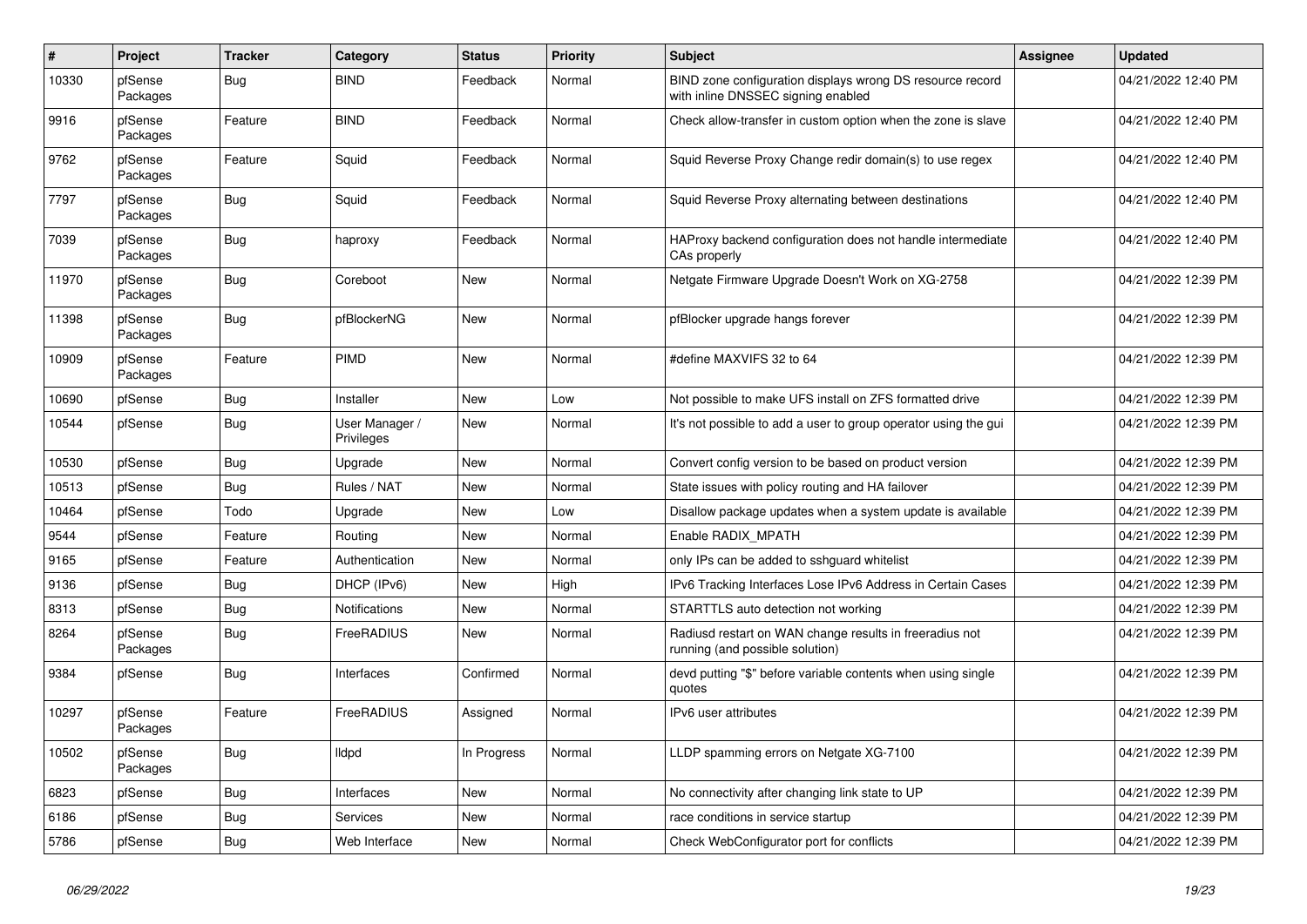| $\vert$ # | Project             | <b>Tracker</b> | Category                     | <b>Status</b> | Priority | <b>Subject</b>                                                                                  | <b>Assignee</b> | <b>Updated</b>      |
|-----------|---------------------|----------------|------------------------------|---------------|----------|-------------------------------------------------------------------------------------------------|-----------------|---------------------|
| 10330     | pfSense<br>Packages | <b>Bug</b>     | <b>BIND</b>                  | Feedback      | Normal   | BIND zone configuration displays wrong DS resource record<br>with inline DNSSEC signing enabled |                 | 04/21/2022 12:40 PM |
| 9916      | pfSense<br>Packages | Feature        | <b>BIND</b>                  | Feedback      | Normal   | Check allow-transfer in custom option when the zone is slave                                    |                 | 04/21/2022 12:40 PM |
| 9762      | pfSense<br>Packages | Feature        | Squid                        | Feedback      | Normal   | Squid Reverse Proxy Change redir domain(s) to use regex                                         |                 | 04/21/2022 12:40 PM |
| 7797      | pfSense<br>Packages | Bug            | Squid                        | Feedback      | Normal   | Squid Reverse Proxy alternating between destinations                                            |                 | 04/21/2022 12:40 PM |
| 7039      | pfSense<br>Packages | <b>Bug</b>     | haproxy                      | Feedback      | Normal   | HAProxy backend configuration does not handle intermediate<br>CAs properly                      |                 | 04/21/2022 12:40 PM |
| 11970     | pfSense<br>Packages | <b>Bug</b>     | Coreboot                     | New           | Normal   | Netgate Firmware Upgrade Doesn't Work on XG-2758                                                |                 | 04/21/2022 12:39 PM |
| 11398     | pfSense<br>Packages | Bug            | pfBlockerNG                  | <b>New</b>    | Normal   | pfBlocker upgrade hangs forever                                                                 |                 | 04/21/2022 12:39 PM |
| 10909     | pfSense<br>Packages | Feature        | <b>PIMD</b>                  | New           | Normal   | #define MAXVIFS 32 to 64                                                                        |                 | 04/21/2022 12:39 PM |
| 10690     | pfSense             | <b>Bug</b>     | Installer                    | <b>New</b>    | Low      | Not possible to make UFS install on ZFS formatted drive                                         |                 | 04/21/2022 12:39 PM |
| 10544     | pfSense             | <b>Bug</b>     | User Manager /<br>Privileges | New           | Normal   | It's not possible to add a user to group operator using the gui                                 |                 | 04/21/2022 12:39 PM |
| 10530     | pfSense             | <b>Bug</b>     | Upgrade                      | <b>New</b>    | Normal   | Convert config version to be based on product version                                           |                 | 04/21/2022 12:39 PM |
| 10513     | pfSense             | Bug            | Rules / NAT                  | New           | Normal   | State issues with policy routing and HA failover                                                |                 | 04/21/2022 12:39 PM |
| 10464     | pfSense             | Todo           | Upgrade                      | <b>New</b>    | Low      | Disallow package updates when a system update is available                                      |                 | 04/21/2022 12:39 PM |
| 9544      | pfSense             | Feature        | Routing                      | <b>New</b>    | Normal   | Enable RADIX MPATH                                                                              |                 | 04/21/2022 12:39 PM |
| 9165      | pfSense             | Feature        | Authentication               | New           | Normal   | only IPs can be added to sshguard whitelist                                                     |                 | 04/21/2022 12:39 PM |
| 9136      | pfSense             | Bug            | DHCP (IPv6)                  | <b>New</b>    | High     | IPv6 Tracking Interfaces Lose IPv6 Address in Certain Cases                                     |                 | 04/21/2022 12:39 PM |
| 8313      | pfSense             | <b>Bug</b>     | <b>Notifications</b>         | <b>New</b>    | Normal   | STARTTLS auto detection not working                                                             |                 | 04/21/2022 12:39 PM |
| 8264      | pfSense<br>Packages | Bug            | FreeRADIUS                   | <b>New</b>    | Normal   | Radiusd restart on WAN change results in freeradius not<br>running (and possible solution)      |                 | 04/21/2022 12:39 PM |
| 9384      | pfSense             | <b>Bug</b>     | Interfaces                   | Confirmed     | Normal   | devd putting "\$" before variable contents when using single<br>quotes                          |                 | 04/21/2022 12:39 PM |
| 10297     | pfSense<br>Packages | Feature        | FreeRADIUS                   | Assigned      | Normal   | IPv6 user attributes                                                                            |                 | 04/21/2022 12:39 PM |
| 10502     | pfSense<br>Packages | <b>Bug</b>     | <b>Ildpd</b>                 | In Progress   | Normal   | LLDP spamming errors on Netgate XG-7100                                                         |                 | 04/21/2022 12:39 PM |
| 6823      | pfSense             | <b>Bug</b>     | Interfaces                   | <b>New</b>    | Normal   | No connectivity after changing link state to UP                                                 |                 | 04/21/2022 12:39 PM |
| 6186      | pfSense             | <b>Bug</b>     | <b>Services</b>              | <b>New</b>    | Normal   | race conditions in service startup                                                              |                 | 04/21/2022 12:39 PM |
| 5786      | pfSense             | <b>Bug</b>     | Web Interface                | <b>New</b>    | Normal   | Check WebConfigurator port for conflicts                                                        |                 | 04/21/2022 12:39 PM |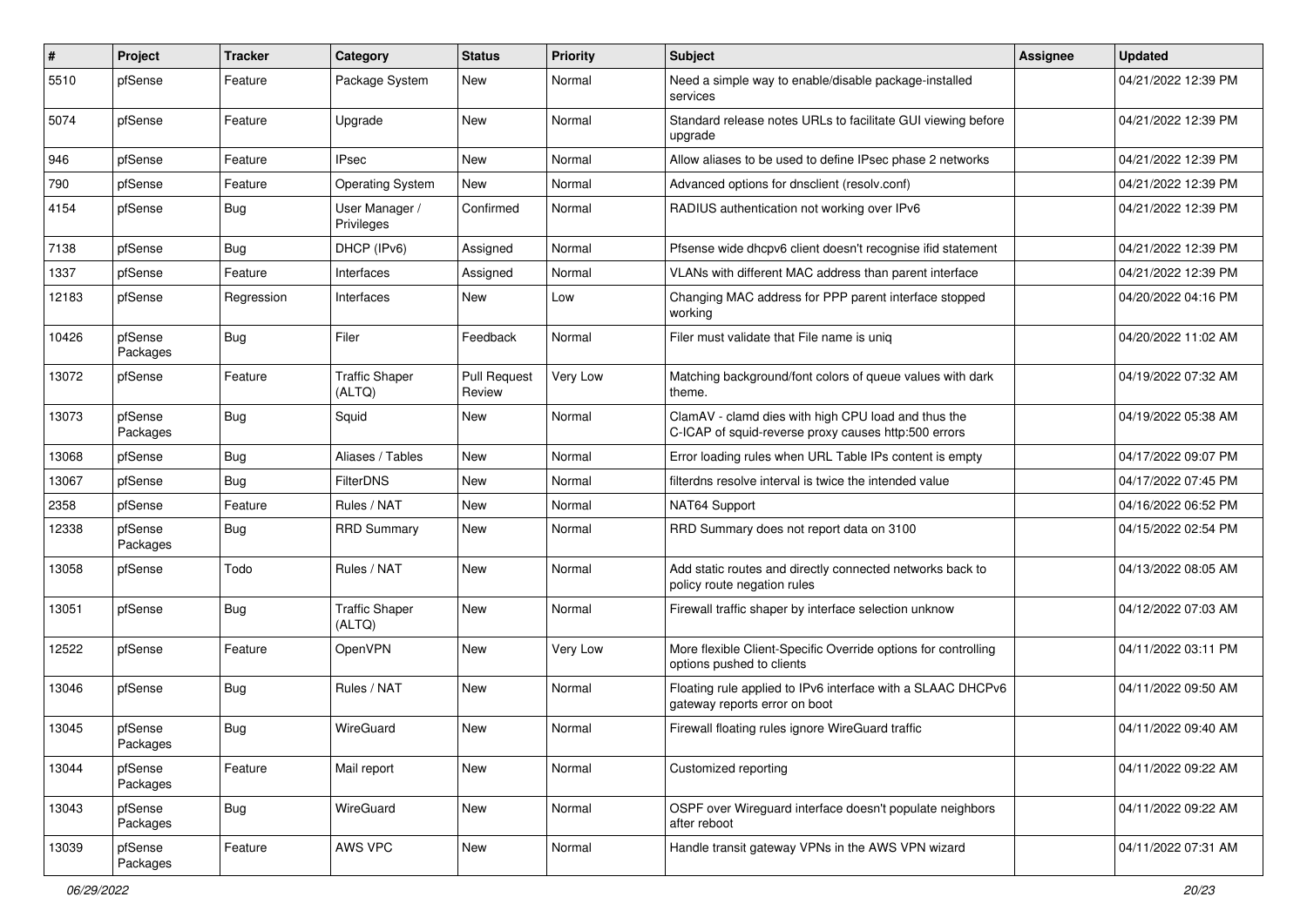| $\vert$ # | Project             | <b>Tracker</b> | Category                        | <b>Status</b>                 | <b>Priority</b> | <b>Subject</b>                                                                                              | Assignee | <b>Updated</b>      |
|-----------|---------------------|----------------|---------------------------------|-------------------------------|-----------------|-------------------------------------------------------------------------------------------------------------|----------|---------------------|
| 5510      | pfSense             | Feature        | Package System                  | New                           | Normal          | Need a simple way to enable/disable package-installed<br>services                                           |          | 04/21/2022 12:39 PM |
| 5074      | pfSense             | Feature        | Upgrade                         | New                           | Normal          | Standard release notes URLs to facilitate GUI viewing before<br>upgrade                                     |          | 04/21/2022 12:39 PM |
| 946       | pfSense             | Feature        | <b>IPsec</b>                    | New                           | Normal          | Allow aliases to be used to define IPsec phase 2 networks                                                   |          | 04/21/2022 12:39 PM |
| 790       | pfSense             | Feature        | <b>Operating System</b>         | New                           | Normal          | Advanced options for dnsclient (resolv.conf)                                                                |          | 04/21/2022 12:39 PM |
| 4154      | pfSense             | Bug            | User Manager /<br>Privileges    | Confirmed                     | Normal          | RADIUS authentication not working over IPv6                                                                 |          | 04/21/2022 12:39 PM |
| 7138      | pfSense             | Bug            | DHCP (IPv6)                     | Assigned                      | Normal          | Pfsense wide dhcpv6 client doesn't recognise ifid statement                                                 |          | 04/21/2022 12:39 PM |
| 1337      | pfSense             | Feature        | Interfaces                      | Assigned                      | Normal          | VLANs with different MAC address than parent interface                                                      |          | 04/21/2022 12:39 PM |
| 12183     | pfSense             | Regression     | Interfaces                      | New                           | Low             | Changing MAC address for PPP parent interface stopped<br>working                                            |          | 04/20/2022 04:16 PM |
| 10426     | pfSense<br>Packages | Bug            | Filer                           | Feedback                      | Normal          | Filer must validate that File name is uniq                                                                  |          | 04/20/2022 11:02 AM |
| 13072     | pfSense             | Feature        | <b>Traffic Shaper</b><br>(ALTQ) | <b>Pull Request</b><br>Review | Very Low        | Matching background/font colors of queue values with dark<br>theme.                                         |          | 04/19/2022 07:32 AM |
| 13073     | pfSense<br>Packages | Bug            | Squid                           | New                           | Normal          | ClamAV - clamd dies with high CPU load and thus the<br>C-ICAP of squid-reverse proxy causes http:500 errors |          | 04/19/2022 05:38 AM |
| 13068     | pfSense             | <b>Bug</b>     | Aliases / Tables                | <b>New</b>                    | Normal          | Error loading rules when URL Table IPs content is empty                                                     |          | 04/17/2022 09:07 PM |
| 13067     | pfSense             | Bug            | <b>FilterDNS</b>                | New                           | Normal          | filterdns resolve interval is twice the intended value                                                      |          | 04/17/2022 07:45 PM |
| 2358      | pfSense             | Feature        | Rules / NAT                     | <b>New</b>                    | Normal          | NAT64 Support                                                                                               |          | 04/16/2022 06:52 PM |
| 12338     | pfSense<br>Packages | Bug            | <b>RRD Summary</b>              | New                           | Normal          | RRD Summary does not report data on 3100                                                                    |          | 04/15/2022 02:54 PM |
| 13058     | pfSense             | Todo           | Rules / NAT                     | <b>New</b>                    | Normal          | Add static routes and directly connected networks back to<br>policy route negation rules                    |          | 04/13/2022 08:05 AM |
| 13051     | pfSense             | Bug            | <b>Traffic Shaper</b><br>(ALTQ) | New                           | Normal          | Firewall traffic shaper by interface selection unknow                                                       |          | 04/12/2022 07:03 AM |
| 12522     | pfSense             | Feature        | OpenVPN                         | New                           | Very Low        | More flexible Client-Specific Override options for controlling<br>options pushed to clients                 |          | 04/11/2022 03:11 PM |
| 13046     | pfSense             | Bug            | Rules / NAT                     | <b>New</b>                    | Normal          | Floating rule applied to IPv6 interface with a SLAAC DHCPv6<br>gateway reports error on boot                |          | 04/11/2022 09:50 AM |
| 13045     | pfSense<br>Packages | <b>Bug</b>     | WireGuard                       | New                           | Normal          | Firewall floating rules ignore WireGuard traffic                                                            |          | 04/11/2022 09:40 AM |
| 13044     | pfSense<br>Packages | Feature        | Mail report                     | New                           | Normal          | Customized reporting                                                                                        |          | 04/11/2022 09:22 AM |
| 13043     | pfSense<br>Packages | Bug            | WireGuard                       | New                           | Normal          | OSPF over Wireguard interface doesn't populate neighbors<br>after reboot                                    |          | 04/11/2022 09:22 AM |
| 13039     | pfSense<br>Packages | Feature        | AWS VPC                         | New                           | Normal          | Handle transit gateway VPNs in the AWS VPN wizard                                                           |          | 04/11/2022 07:31 AM |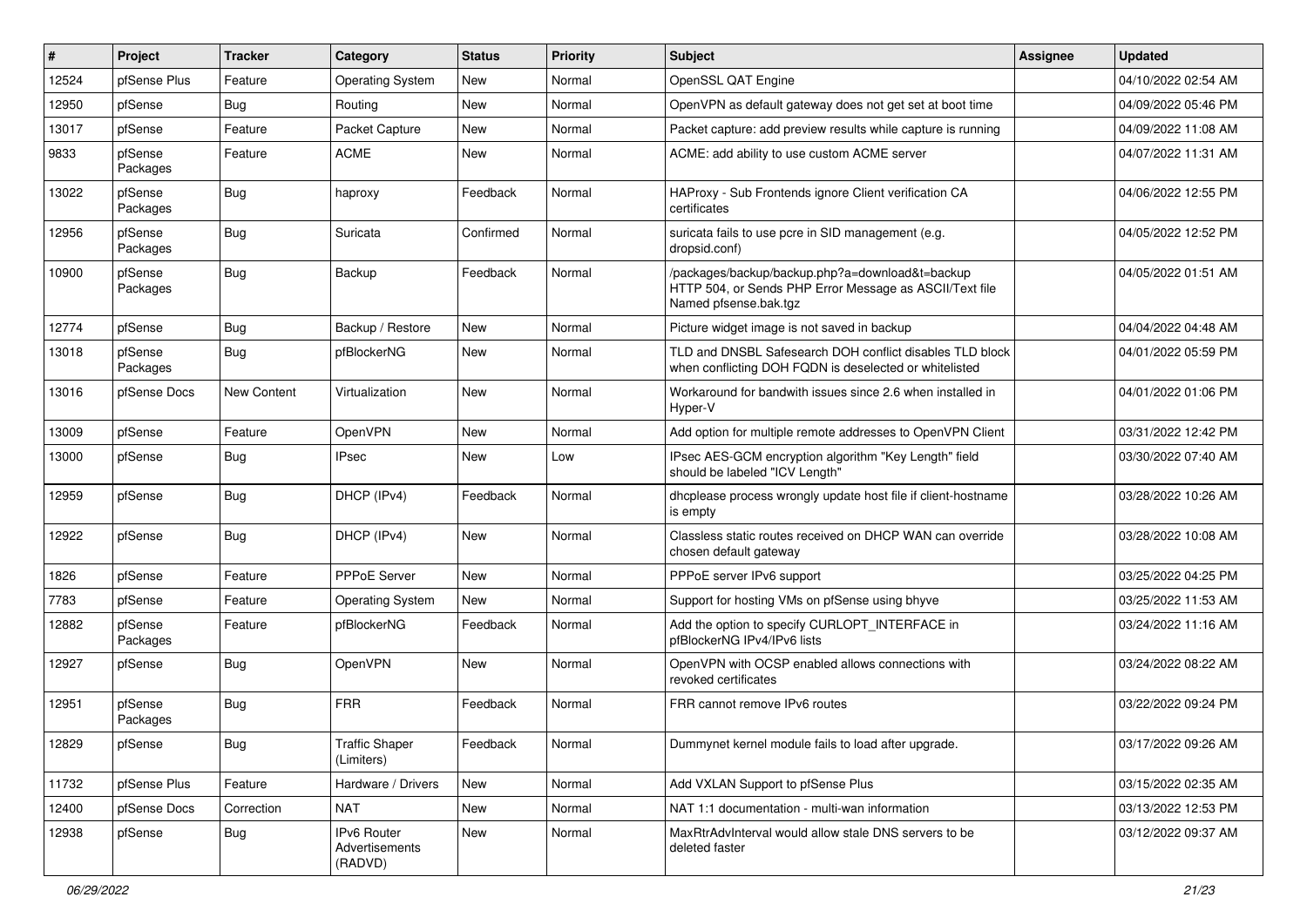| $\pmb{\sharp}$ | Project             | <b>Tracker</b> | Category                                 | <b>Status</b> | <b>Priority</b> | <b>Subject</b>                                                                                                                      | <b>Assignee</b> | <b>Updated</b>      |
|----------------|---------------------|----------------|------------------------------------------|---------------|-----------------|-------------------------------------------------------------------------------------------------------------------------------------|-----------------|---------------------|
| 12524          | pfSense Plus        | Feature        | <b>Operating System</b>                  | New           | Normal          | OpenSSL QAT Engine                                                                                                                  |                 | 04/10/2022 02:54 AM |
| 12950          | pfSense             | Bug            | Routing                                  | <b>New</b>    | Normal          | OpenVPN as default gateway does not get set at boot time                                                                            |                 | 04/09/2022 05:46 PM |
| 13017          | pfSense             | Feature        | Packet Capture                           | New           | Normal          | Packet capture: add preview results while capture is running                                                                        |                 | 04/09/2022 11:08 AM |
| 9833           | pfSense<br>Packages | Feature        | <b>ACME</b>                              | <b>New</b>    | Normal          | ACME: add ability to use custom ACME server                                                                                         |                 | 04/07/2022 11:31 AM |
| 13022          | pfSense<br>Packages | Bug            | haproxy                                  | Feedback      | Normal          | HAProxy - Sub Frontends ignore Client verification CA<br>certificates                                                               |                 | 04/06/2022 12:55 PM |
| 12956          | pfSense<br>Packages | <b>Bug</b>     | Suricata                                 | Confirmed     | Normal          | suricata fails to use pcre in SID management (e.g.<br>dropsid.conf)                                                                 |                 | 04/05/2022 12:52 PM |
| 10900          | pfSense<br>Packages | Bug            | Backup                                   | Feedback      | Normal          | /packages/backup/backup.php?a=download&t=backup<br>HTTP 504, or Sends PHP Error Message as ASCII/Text file<br>Named pfsense.bak.tgz |                 | 04/05/2022 01:51 AM |
| 12774          | pfSense             | Bug            | Backup / Restore                         | <b>New</b>    | Normal          | Picture widget image is not saved in backup                                                                                         |                 | 04/04/2022 04:48 AM |
| 13018          | pfSense<br>Packages | Bug            | pfBlockerNG                              | New           | Normal          | TLD and DNSBL Safesearch DOH conflict disables TLD block<br>when conflicting DOH FQDN is deselected or whitelisted                  |                 | 04/01/2022 05:59 PM |
| 13016          | pfSense Docs        | New Content    | Virtualization                           | <b>New</b>    | Normal          | Workaround for bandwith issues since 2.6 when installed in<br>Hyper-V                                                               |                 | 04/01/2022 01:06 PM |
| 13009          | pfSense             | Feature        | OpenVPN                                  | <b>New</b>    | Normal          | Add option for multiple remote addresses to OpenVPN Client                                                                          |                 | 03/31/2022 12:42 PM |
| 13000          | pfSense             | Bug            | <b>IPsec</b>                             | <b>New</b>    | Low             | IPsec AES-GCM encryption algorithm "Key Length" field<br>should be labeled "ICV Length"                                             |                 | 03/30/2022 07:40 AM |
| 12959          | pfSense             | Bug            | DHCP (IPv4)                              | Feedback      | Normal          | dhcplease process wrongly update host file if client-hostname<br>is empty                                                           |                 | 03/28/2022 10:26 AM |
| 12922          | pfSense             | Bug            | DHCP (IPv4)                              | New           | Normal          | Classless static routes received on DHCP WAN can override<br>chosen default gateway                                                 |                 | 03/28/2022 10:08 AM |
| 1826           | pfSense             | Feature        | PPPoE Server                             | <b>New</b>    | Normal          | PPPoE server IPv6 support                                                                                                           |                 | 03/25/2022 04:25 PM |
| 7783           | pfSense             | Feature        | <b>Operating System</b>                  | <b>New</b>    | Normal          | Support for hosting VMs on pfSense using bhyve                                                                                      |                 | 03/25/2022 11:53 AM |
| 12882          | pfSense<br>Packages | Feature        | pfBlockerNG                              | Feedback      | Normal          | Add the option to specify CURLOPT_INTERFACE in<br>pfBlockerNG IPv4/IPv6 lists                                                       |                 | 03/24/2022 11:16 AM |
| 12927          | pfSense             | Bug            | OpenVPN                                  | <b>New</b>    | Normal          | OpenVPN with OCSP enabled allows connections with<br>revoked certificates                                                           |                 | 03/24/2022 08:22 AM |
| 12951          | pfSense<br>Packages | Bug            | <b>FRR</b>                               | Feedback      | Normal          | FRR cannot remove IPv6 routes                                                                                                       |                 | 03/22/2022 09:24 PM |
| 12829          | pfSense             | <b>Bug</b>     | <b>Traffic Shaper</b><br>(Limiters)      | Feedback      | Normal          | Dummynet kernel module fails to load after upgrade.                                                                                 |                 | 03/17/2022 09:26 AM |
| 11732          | pfSense Plus        | Feature        | Hardware / Drivers                       | New           | Normal          | Add VXLAN Support to pfSense Plus                                                                                                   |                 | 03/15/2022 02:35 AM |
| 12400          | pfSense Docs        | Correction     | <b>NAT</b>                               | New           | Normal          | NAT 1:1 documentation - multi-wan information                                                                                       |                 | 03/13/2022 12:53 PM |
| 12938          | pfSense             | <b>Bug</b>     | IPv6 Router<br>Advertisements<br>(RADVD) | New           | Normal          | MaxRtrAdvInterval would allow stale DNS servers to be<br>deleted faster                                                             |                 | 03/12/2022 09:37 AM |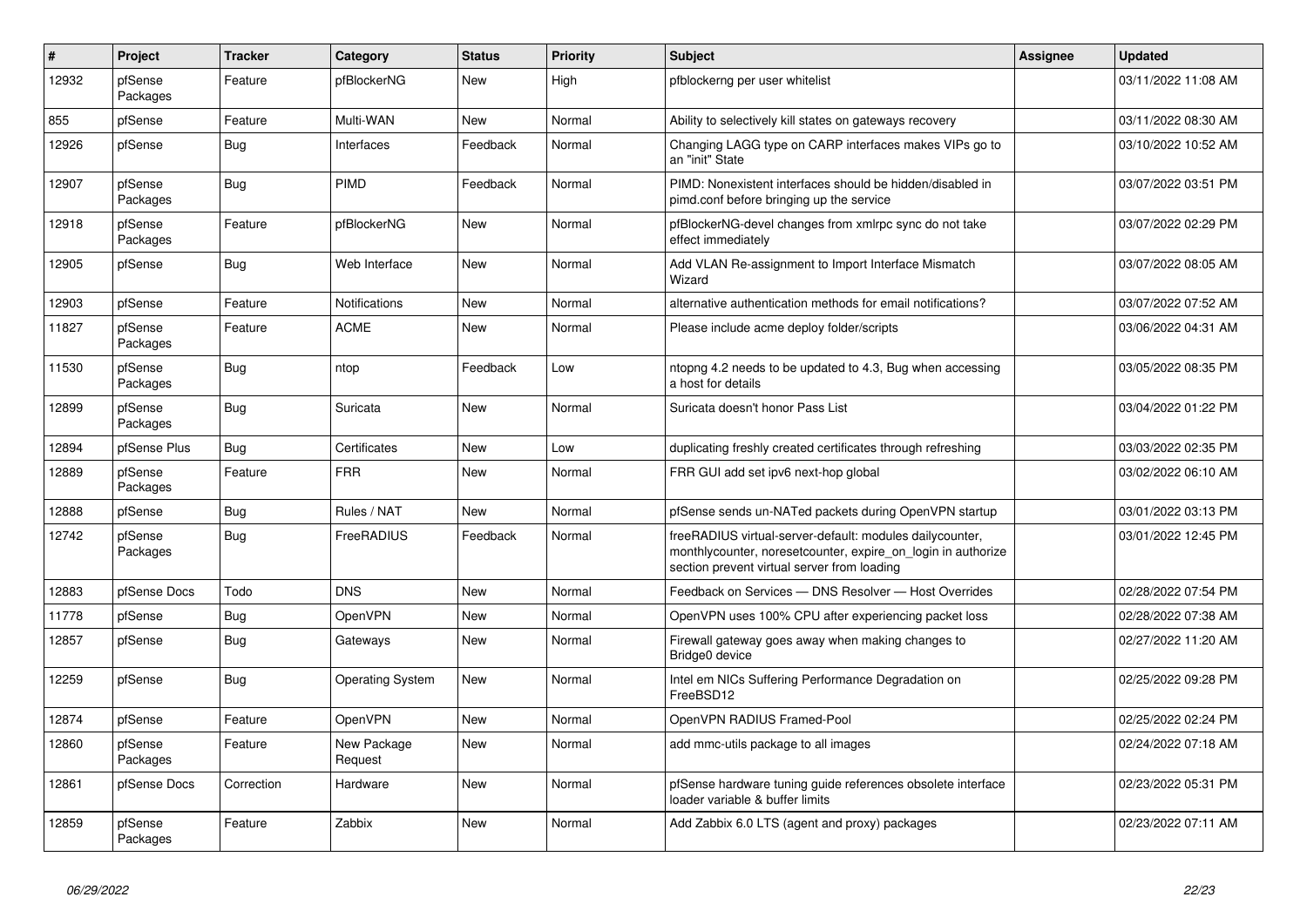| $\sharp$ | Project             | <b>Tracker</b> | Category                | <b>Status</b> | <b>Priority</b> | <b>Subject</b>                                                                                                                                                          | Assignee | <b>Updated</b>      |
|----------|---------------------|----------------|-------------------------|---------------|-----------------|-------------------------------------------------------------------------------------------------------------------------------------------------------------------------|----------|---------------------|
| 12932    | pfSense<br>Packages | Feature        | pfBlockerNG             | <b>New</b>    | High            | pfblockerng per user whitelist                                                                                                                                          |          | 03/11/2022 11:08 AM |
| 855      | pfSense             | Feature        | Multi-WAN               | <b>New</b>    | Normal          | Ability to selectively kill states on gateways recovery                                                                                                                 |          | 03/11/2022 08:30 AM |
| 12926    | pfSense             | Bug            | Interfaces              | Feedback      | Normal          | Changing LAGG type on CARP interfaces makes VIPs go to<br>an "init" State                                                                                               |          | 03/10/2022 10:52 AM |
| 12907    | pfSense<br>Packages | <b>Bug</b>     | <b>PIMD</b>             | Feedback      | Normal          | PIMD: Nonexistent interfaces should be hidden/disabled in<br>pimd.conf before bringing up the service                                                                   |          | 03/07/2022 03:51 PM |
| 12918    | pfSense<br>Packages | Feature        | pfBlockerNG             | <b>New</b>    | Normal          | pfBlockerNG-devel changes from xmlrpc sync do not take<br>effect immediately                                                                                            |          | 03/07/2022 02:29 PM |
| 12905    | pfSense             | <b>Bug</b>     | Web Interface           | <b>New</b>    | Normal          | Add VLAN Re-assignment to Import Interface Mismatch<br>Wizard                                                                                                           |          | 03/07/2022 08:05 AM |
| 12903    | pfSense             | Feature        | <b>Notifications</b>    | New           | Normal          | alternative authentication methods for email notifications?                                                                                                             |          | 03/07/2022 07:52 AM |
| 11827    | pfSense<br>Packages | Feature        | <b>ACME</b>             | <b>New</b>    | Normal          | Please include acme deploy folder/scripts                                                                                                                               |          | 03/06/2022 04:31 AM |
| 11530    | pfSense<br>Packages | <b>Bug</b>     | ntop                    | Feedback      | Low             | ntopng 4.2 needs to be updated to 4.3, Bug when accessing<br>a host for details                                                                                         |          | 03/05/2022 08:35 PM |
| 12899    | pfSense<br>Packages | <b>Bug</b>     | Suricata                | <b>New</b>    | Normal          | Suricata doesn't honor Pass List                                                                                                                                        |          | 03/04/2022 01:22 PM |
| 12894    | pfSense Plus        | Bug            | Certificates            | New           | Low             | duplicating freshly created certificates through refreshing                                                                                                             |          | 03/03/2022 02:35 PM |
| 12889    | pfSense<br>Packages | Feature        | <b>FRR</b>              | New           | Normal          | FRR GUI add set ipv6 next-hop global                                                                                                                                    |          | 03/02/2022 06:10 AM |
| 12888    | pfSense             | <b>Bug</b>     | Rules / NAT             | <b>New</b>    | Normal          | pfSense sends un-NATed packets during OpenVPN startup                                                                                                                   |          | 03/01/2022 03:13 PM |
| 12742    | pfSense<br>Packages | Bug            | FreeRADIUS              | Feedback      | Normal          | freeRADIUS virtual-server-default: modules dailycounter,<br>monthlycounter, noresetcounter, expire_on_login in authorize<br>section prevent virtual server from loading |          | 03/01/2022 12:45 PM |
| 12883    | pfSense Docs        | Todo           | <b>DNS</b>              | <b>New</b>    | Normal          | Feedback on Services - DNS Resolver - Host Overrides                                                                                                                    |          | 02/28/2022 07:54 PM |
| 11778    | pfSense             | Bug            | OpenVPN                 | <b>New</b>    | Normal          | OpenVPN uses 100% CPU after experiencing packet loss                                                                                                                    |          | 02/28/2022 07:38 AM |
| 12857    | pfSense             | <b>Bug</b>     | Gateways                | <b>New</b>    | Normal          | Firewall gateway goes away when making changes to<br>Bridge0 device                                                                                                     |          | 02/27/2022 11:20 AM |
| 12259    | pfSense             | Bug            | <b>Operating System</b> | New           | Normal          | Intel em NICs Suffering Performance Degradation on<br>FreeBSD12                                                                                                         |          | 02/25/2022 09:28 PM |
| 12874    | pfSense             | Feature        | <b>OpenVPN</b>          | <b>New</b>    | Normal          | OpenVPN RADIUS Framed-Pool                                                                                                                                              |          | 02/25/2022 02:24 PM |
| 12860    | pfSense<br>Packages | Feature        | New Package<br>Request  | New           | Normal          | add mmc-utils package to all images                                                                                                                                     |          | 02/24/2022 07:18 AM |
| 12861    | pfSense Docs        | Correction     | Hardware                | <b>New</b>    | Normal          | pfSense hardware tuning guide references obsolete interface<br>loader variable & buffer limits                                                                          |          | 02/23/2022 05:31 PM |
| 12859    | pfSense<br>Packages | Feature        | Zabbix                  | <b>New</b>    | Normal          | Add Zabbix 6.0 LTS (agent and proxy) packages                                                                                                                           |          | 02/23/2022 07:11 AM |